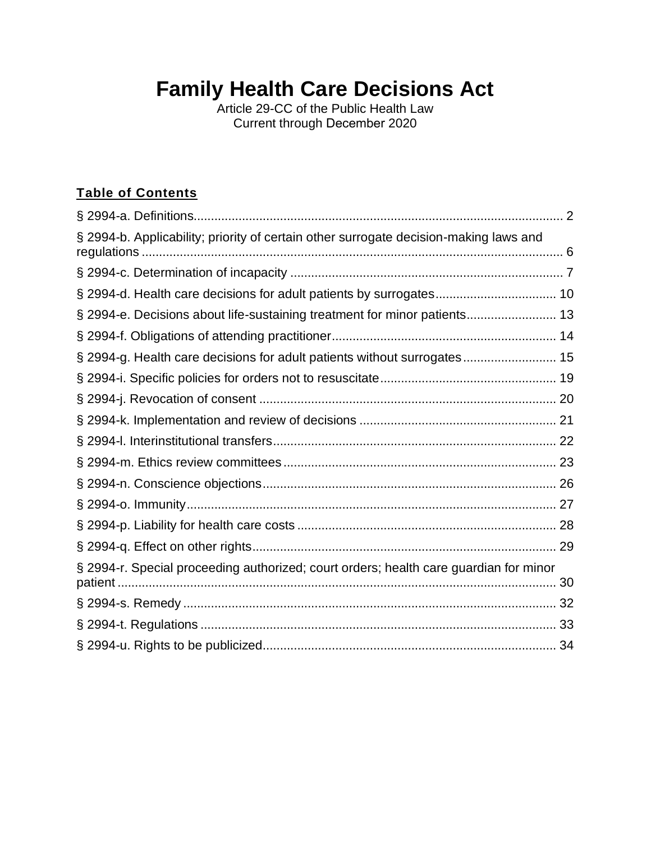# <span id="page-0-1"></span>**Family Health Care Decisions Act**

Article 29-CC of the Public Health Law Current through December 2020

# **Table of Contents**

<span id="page-0-0"></span>

| § 2994-b. Applicability; priority of certain other surrogate decision-making laws and |  |
|---------------------------------------------------------------------------------------|--|
|                                                                                       |  |
| § 2994-d. Health care decisions for adult patients by surrogates 10                   |  |
| § 2994-e. Decisions about life-sustaining treatment for minor patients 13             |  |
|                                                                                       |  |
| § 2994-g. Health care decisions for adult patients without surrogates 15              |  |
|                                                                                       |  |
|                                                                                       |  |
|                                                                                       |  |
|                                                                                       |  |
|                                                                                       |  |
|                                                                                       |  |
|                                                                                       |  |
|                                                                                       |  |
|                                                                                       |  |
| § 2994-r. Special proceeding authorized; court orders; health care guardian for minor |  |
|                                                                                       |  |
|                                                                                       |  |
|                                                                                       |  |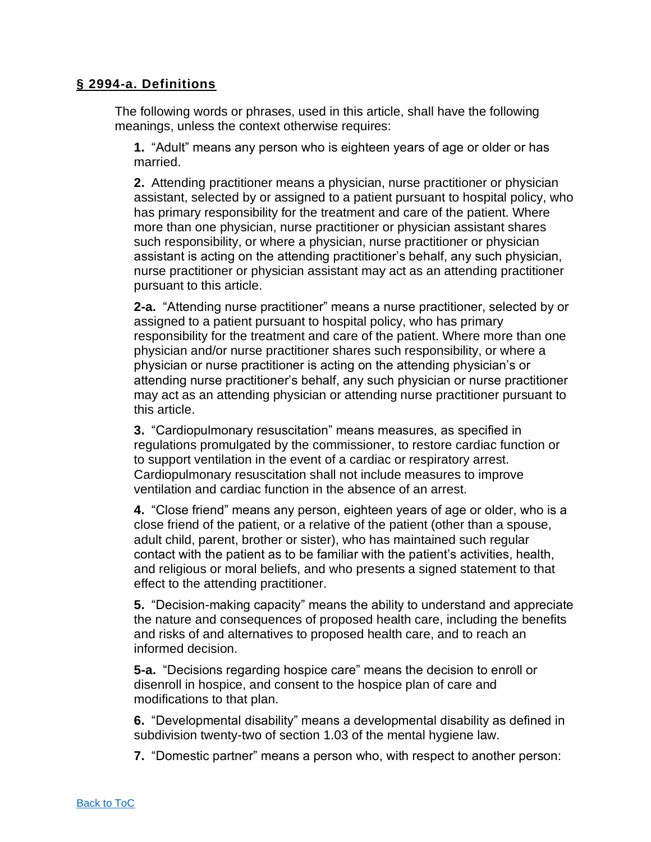# **§ 2994-a. Definitions**

The following words or phrases, used in this article, shall have the following meanings, unless the context otherwise requires:

**1.** "Adult" means any person who is eighteen years of age or older or has married.

**2.** Attending practitioner means a physician, nurse practitioner or physician assistant, selected by or assigned to a patient pursuant to hospital policy, who has primary responsibility for the treatment and care of the patient. Where more than one physician, nurse practitioner or physician assistant shares such responsibility, or where a physician, nurse practitioner or physician assistant is acting on the attending practitioner's behalf, any such physician, nurse practitioner or physician assistant may act as an attending practitioner pursuant to this article.

**2-a.** "Attending nurse practitioner" means a nurse practitioner, selected by or assigned to a patient pursuant to hospital policy, who has primary responsibility for the treatment and care of the patient. Where more than one physician and/or nurse practitioner shares such responsibility, or where a physician or nurse practitioner is acting on the attending physician's or attending nurse practitioner's behalf, any such physician or nurse practitioner may act as an attending physician or attending nurse practitioner pursuant to this article.

**3.** "Cardiopulmonary resuscitation" means measures, as specified in regulations promulgated by the commissioner, to restore cardiac function or to support ventilation in the event of a cardiac or respiratory arrest. Cardiopulmonary resuscitation shall not include measures to improve ventilation and cardiac function in the absence of an arrest.

**4.** "Close friend" means any person, eighteen years of age or older, who is a close friend of the patient, or a relative of the patient (other than a spouse, adult child, parent, brother or sister), who has maintained such regular contact with the patient as to be familiar with the patient's activities, health, and religious or moral beliefs, and who presents a signed statement to that effect to the attending practitioner.

**5.** "Decision-making capacity" means the ability to understand and appreciate the nature and consequences of proposed health care, including the benefits and risks of and alternatives to proposed health care, and to reach an informed decision.

**5-a.** "Decisions regarding hospice care" means the decision to enroll or disenroll in hospice, and consent to the hospice plan of care and modifications to that plan.

**6.** "Developmental disability" means a developmental disability as defined in subdivision twenty-two of section 1.03 of the mental hygiene law.

**7.** "Domestic partner" means a person who, with respect to another person: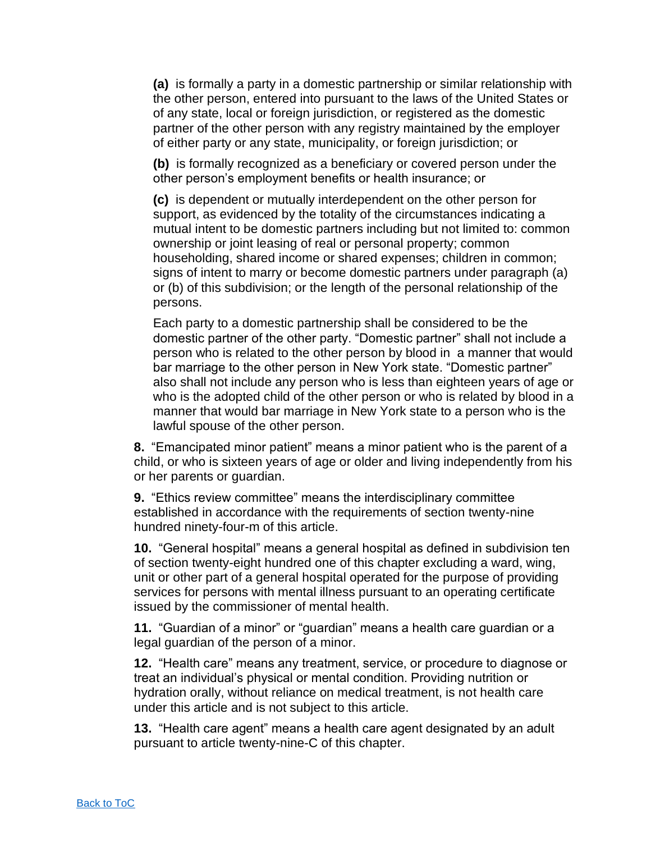**(a)** is formally a party in a domestic partnership or similar relationship with the other person, entered into pursuant to the laws of the United States or of any state, local or foreign jurisdiction, or registered as the domestic partner of the other person with any registry maintained by the employer of either party or any state, municipality, or foreign jurisdiction; or

**(b)** is formally recognized as a beneficiary or covered person under the other person's employment benefits or health insurance; or

**(c)** is dependent or mutually interdependent on the other person for support, as evidenced by the totality of the circumstances indicating a mutual intent to be domestic partners including but not limited to: common ownership or joint leasing of real or personal property; common householding, shared income or shared expenses; children in common; signs of intent to marry or become domestic partners under paragraph (a) or (b) of this subdivision; or the length of the personal relationship of the persons.

Each party to a domestic partnership shall be considered to be the domestic partner of the other party. "Domestic partner" shall not include a person who is related to the other person by blood in a manner that would bar marriage to the other person in New York state. "Domestic partner" also shall not include any person who is less than eighteen years of age or who is the adopted child of the other person or who is related by blood in a manner that would bar marriage in New York state to a person who is the lawful spouse of the other person.

**8.** "Emancipated minor patient" means a minor patient who is the parent of a child, or who is sixteen years of age or older and living independently from his or her parents or guardian.

**9.** "Ethics review committee" means the interdisciplinary committee established in accordance with the requirements of section twenty-nine hundred ninety-four-m of this article.

**10.** "General hospital" means a general hospital as defined in subdivision ten of section twenty-eight hundred one of this chapter excluding a ward, wing, unit or other part of a general hospital operated for the purpose of providing services for persons with mental illness pursuant to an operating certificate issued by the commissioner of mental health.

**11.** "Guardian of a minor" or "guardian" means a health care guardian or a legal guardian of the person of a minor.

**12.** "Health care" means any treatment, service, or procedure to diagnose or treat an individual's physical or mental condition. Providing nutrition or hydration orally, without reliance on medical treatment, is not health care under this article and is not subject to this article.

**13.** "Health care agent" means a health care agent designated by an adult pursuant to article twenty-nine-C of this chapter.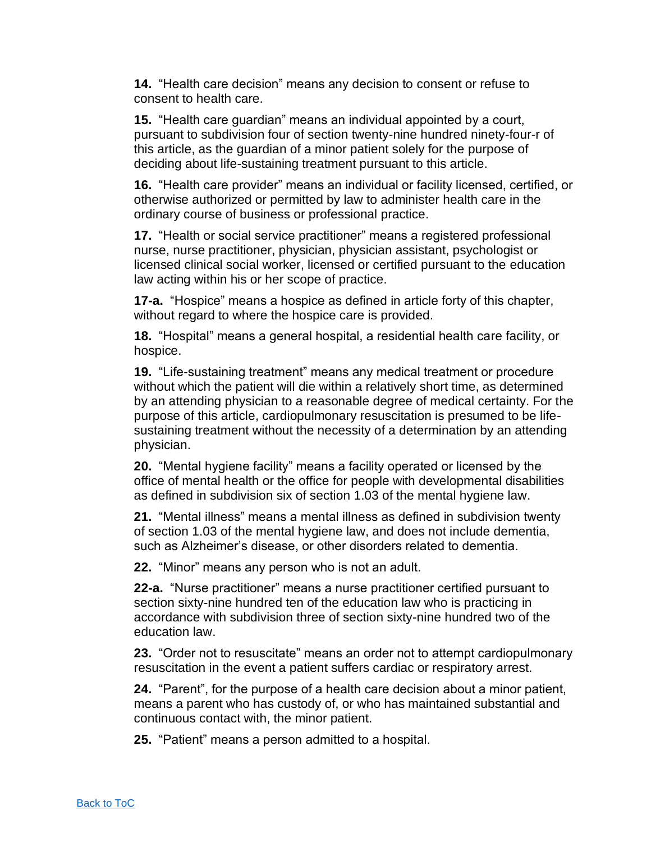**14.** "Health care decision" means any decision to consent or refuse to consent to health care.

**15.** "Health care guardian" means an individual appointed by a court, pursuant to subdivision four of section twenty-nine hundred ninety-four-r of this article, as the guardian of a minor patient solely for the purpose of deciding about life-sustaining treatment pursuant to this article.

**16.** "Health care provider" means an individual or facility licensed, certified, or otherwise authorized or permitted by law to administer health care in the ordinary course of business or professional practice.

**17.** "Health or social service practitioner" means a registered professional nurse, nurse practitioner, physician, physician assistant, psychologist or licensed clinical social worker, licensed or certified pursuant to the education law acting within his or her scope of practice.

**17-a.** "Hospice" means a hospice as defined in article forty of this chapter, without regard to where the hospice care is provided.

**18.** "Hospital" means a general hospital, a residential health care facility, or hospice.

**19.** "Life-sustaining treatment" means any medical treatment or procedure without which the patient will die within a relatively short time, as determined by an attending physician to a reasonable degree of medical certainty. For the purpose of this article, cardiopulmonary resuscitation is presumed to be lifesustaining treatment without the necessity of a determination by an attending physician.

**20.** "Mental hygiene facility" means a facility operated or licensed by the office of mental health or the office for people with developmental disabilities as defined in subdivision six of section 1.03 of the mental hygiene law.

**21.** "Mental illness" means a mental illness as defined in subdivision twenty of section 1.03 of the mental hygiene law, and does not include dementia, such as Alzheimer's disease, or other disorders related to dementia.

**22.** "Minor" means any person who is not an adult.

**22-a.** "Nurse practitioner" means a nurse practitioner certified pursuant to section sixty-nine hundred ten of the education law who is practicing in accordance with subdivision three of section sixty-nine hundred two of the education law.

**23.** "Order not to resuscitate" means an order not to attempt cardiopulmonary resuscitation in the event a patient suffers cardiac or respiratory arrest.

**24.** "Parent", for the purpose of a health care decision about a minor patient, means a parent who has custody of, or who has maintained substantial and continuous contact with, the minor patient.

**25.** "Patient" means a person admitted to a hospital.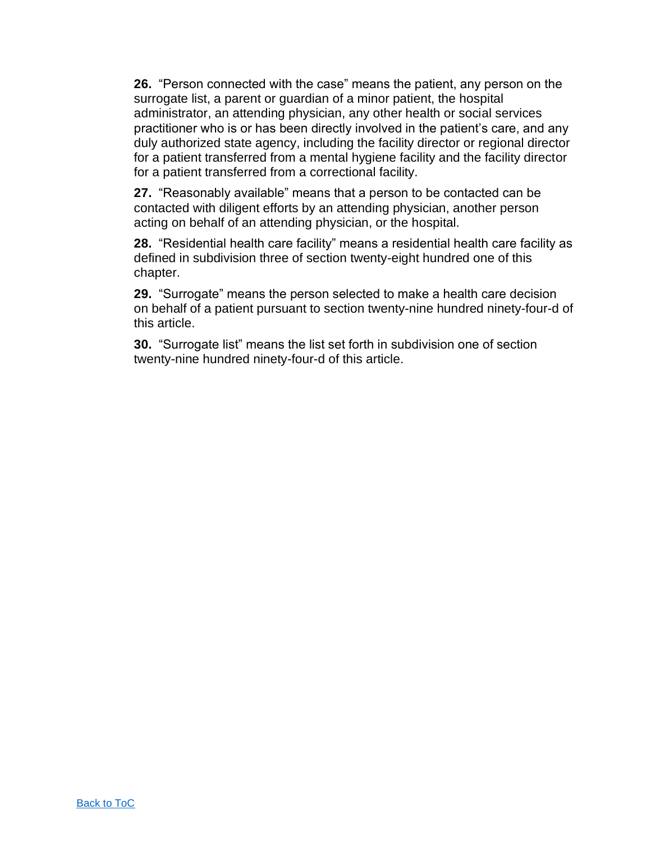**26.** "Person connected with the case" means the patient, any person on the surrogate list, a parent or guardian of a minor patient, the hospital administrator, an attending physician, any other health or social services practitioner who is or has been directly involved in the patient's care, and any duly authorized state agency, including the facility director or regional director for a patient transferred from a mental hygiene facility and the facility director for a patient transferred from a correctional facility.

**27.** "Reasonably available" means that a person to be contacted can be contacted with diligent efforts by an attending physician, another person acting on behalf of an attending physician, or the hospital.

**28.** "Residential health care facility" means a residential health care facility as defined in subdivision three of section twenty-eight hundred one of this chapter.

**29.** "Surrogate" means the person selected to make a health care decision on behalf of a patient pursuant to section twenty-nine hundred ninety-four-d of this article.

**30.** "Surrogate list" means the list set forth in subdivision one of section twenty-nine hundred ninety-four-d of this article.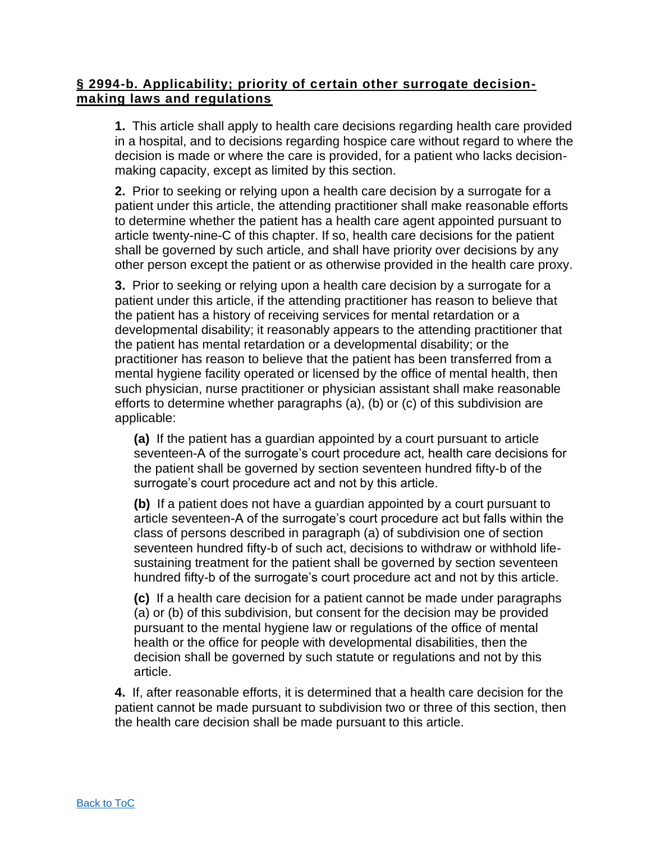# <span id="page-5-0"></span>**§ 2994-b. Applicability; priority of certain other surrogate decisionmaking laws and regulations**

**1.** This article shall apply to health care decisions regarding health care provided in a hospital, and to decisions regarding hospice care without regard to where the decision is made or where the care is provided, for a patient who lacks decisionmaking capacity, except as limited by this section.

**2.** Prior to seeking or relying upon a health care decision by a surrogate for a patient under this article, the attending practitioner shall make reasonable efforts to determine whether the patient has a health care agent appointed pursuant to article twenty-nine-C of this chapter. If so, health care decisions for the patient shall be governed by such article, and shall have priority over decisions by any other person except the patient or as otherwise provided in the health care proxy.

**3.** Prior to seeking or relying upon a health care decision by a surrogate for a patient under this article, if the attending practitioner has reason to believe that the patient has a history of receiving services for mental retardation or a developmental disability; it reasonably appears to the attending practitioner that the patient has mental retardation or a developmental disability; or the practitioner has reason to believe that the patient has been transferred from a mental hygiene facility operated or licensed by the office of mental health, then such physician, nurse practitioner or physician assistant shall make reasonable efforts to determine whether paragraphs (a), (b) or (c) of this subdivision are applicable:

**(a)** If the patient has a guardian appointed by a court pursuant to article seventeen-A of the surrogate's court procedure act, health care decisions for the patient shall be governed by section seventeen hundred fifty-b of the surrogate's court procedure act and not by this article.

**(b)** If a patient does not have a guardian appointed by a court pursuant to article seventeen-A of the surrogate's court procedure act but falls within the class of persons described in paragraph (a) of subdivision one of section seventeen hundred fifty-b of such act, decisions to withdraw or withhold lifesustaining treatment for the patient shall be governed by section seventeen hundred fifty-b of the surrogate's court procedure act and not by this article.

**(c)** If a health care decision for a patient cannot be made under paragraphs (a) or (b) of this subdivision, but consent for the decision may be provided pursuant to the mental hygiene law or regulations of the office of mental health or the office for people with developmental disabilities, then the decision shall be governed by such statute or regulations and not by this article.

**4.** If, after reasonable efforts, it is determined that a health care decision for the patient cannot be made pursuant to subdivision two or three of this section, then the health care decision shall be made pursuant to this article.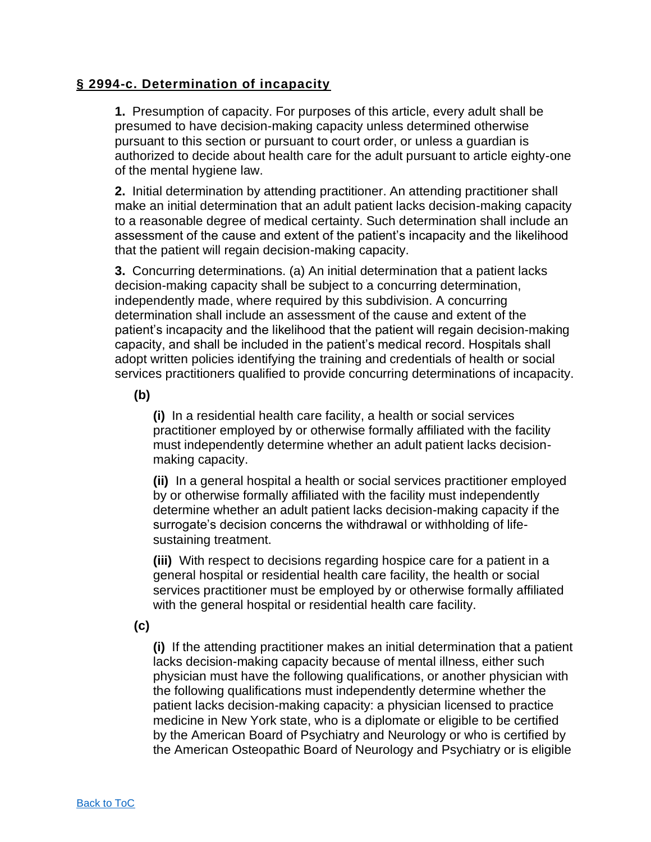## <span id="page-6-0"></span>**§ 2994-c. Determination of incapacity**

**1.** Presumption of capacity. For purposes of this article, every adult shall be presumed to have decision-making capacity unless determined otherwise pursuant to this section or pursuant to court order, or unless a guardian is authorized to decide about health care for the adult pursuant to article eighty-one of the mental hygiene law.

**2.** Initial determination by attending practitioner. An attending practitioner shall make an initial determination that an adult patient lacks decision-making capacity to a reasonable degree of medical certainty. Such determination shall include an assessment of the cause and extent of the patient's incapacity and the likelihood that the patient will regain decision-making capacity.

**3.** Concurring determinations. (a) An initial determination that a patient lacks decision-making capacity shall be subject to a concurring determination, independently made, where required by this subdivision. A concurring determination shall include an assessment of the cause and extent of the patient's incapacity and the likelihood that the patient will regain decision-making capacity, and shall be included in the patient's medical record. Hospitals shall adopt written policies identifying the training and credentials of health or social services practitioners qualified to provide concurring determinations of incapacity.

**(b)** 

**(i)** In a residential health care facility, a health or social services practitioner employed by or otherwise formally affiliated with the facility must independently determine whether an adult patient lacks decisionmaking capacity.

**(ii)** In a general hospital a health or social services practitioner employed by or otherwise formally affiliated with the facility must independently determine whether an adult patient lacks decision-making capacity if the surrogate's decision concerns the withdrawal or withholding of lifesustaining treatment.

**(iii)** With respect to decisions regarding hospice care for a patient in a general hospital or residential health care facility, the health or social services practitioner must be employed by or otherwise formally affiliated with the general hospital or residential health care facility.

**(c)** 

**(i)** If the attending practitioner makes an initial determination that a patient lacks decision-making capacity because of mental illness, either such physician must have the following qualifications, or another physician with the following qualifications must independently determine whether the patient lacks decision-making capacity: a physician licensed to practice medicine in New York state, who is a diplomate or eligible to be certified by the American Board of Psychiatry and Neurology or who is certified by the American Osteopathic Board of Neurology and Psychiatry or is eligible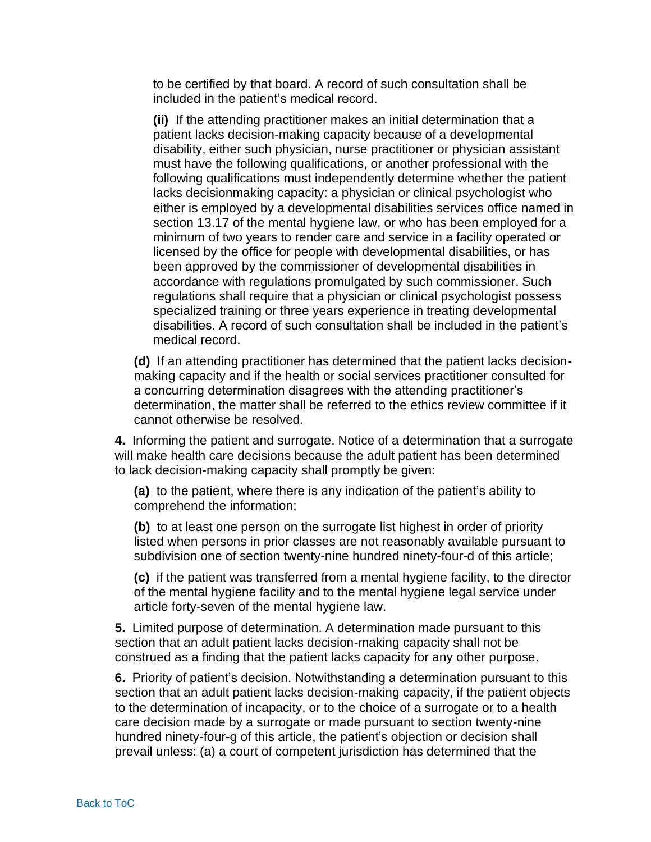to be certified by that board. A record of such consultation shall be included in the patient's medical record.

**(ii)** If the attending practitioner makes an initial determination that a patient lacks decision-making capacity because of a developmental disability, either such physician, nurse practitioner or physician assistant must have the following qualifications, or another professional with the following qualifications must independently determine whether the patient lacks decisionmaking capacity: a physician or clinical psychologist who either is employed by a developmental disabilities services office named in section 13.17 of the mental hygiene law, or who has been employed for a minimum of two years to render care and service in a facility operated or licensed by the office for people with developmental disabilities, or has been approved by the commissioner of developmental disabilities in accordance with regulations promulgated by such commissioner. Such regulations shall require that a physician or clinical psychologist possess specialized training or three years experience in treating developmental disabilities. A record of such consultation shall be included in the patient's medical record.

**(d)** If an attending practitioner has determined that the patient lacks decisionmaking capacity and if the health or social services practitioner consulted for a concurring determination disagrees with the attending practitioner's determination, the matter shall be referred to the ethics review committee if it cannot otherwise be resolved.

**4.** Informing the patient and surrogate. Notice of a determination that a surrogate will make health care decisions because the adult patient has been determined to lack decision-making capacity shall promptly be given:

**(a)** to the patient, where there is any indication of the patient's ability to comprehend the information;

**(b)** to at least one person on the surrogate list highest in order of priority listed when persons in prior classes are not reasonably available pursuant to subdivision one of section twenty-nine hundred ninety-four-d of this article;

**(c)** if the patient was transferred from a mental hygiene facility, to the director of the mental hygiene facility and to the mental hygiene legal service under article forty-seven of the mental hygiene law.

**5.** Limited purpose of determination. A determination made pursuant to this section that an adult patient lacks decision-making capacity shall not be construed as a finding that the patient lacks capacity for any other purpose.

**6.** Priority of patient's decision. Notwithstanding a determination pursuant to this section that an adult patient lacks decision-making capacity, if the patient objects to the determination of incapacity, or to the choice of a surrogate or to a health care decision made by a surrogate or made pursuant to section twenty-nine hundred ninety-four-g of this article, the patient's objection or decision shall prevail unless: (a) a court of competent jurisdiction has determined that the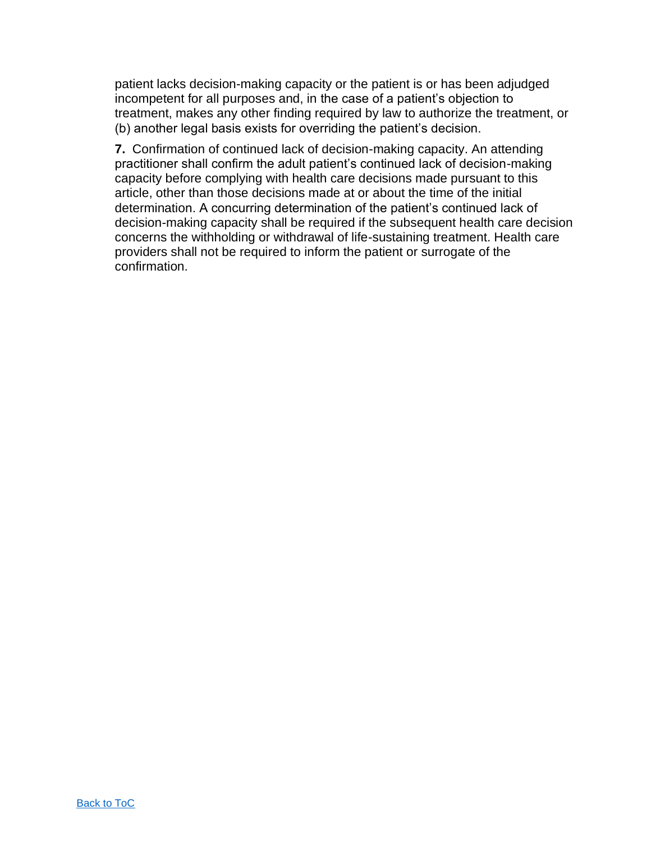patient lacks decision-making capacity or the patient is or has been adjudged incompetent for all purposes and, in the case of a patient's objection to treatment, makes any other finding required by law to authorize the treatment, or (b) another legal basis exists for overriding the patient's decision.

**7.** Confirmation of continued lack of decision-making capacity. An attending practitioner shall confirm the adult patient's continued lack of decision-making capacity before complying with health care decisions made pursuant to this article, other than those decisions made at or about the time of the initial determination. A concurring determination of the patient's continued lack of decision-making capacity shall be required if the subsequent health care decision concerns the withholding or withdrawal of life-sustaining treatment. Health care providers shall not be required to inform the patient or surrogate of the confirmation.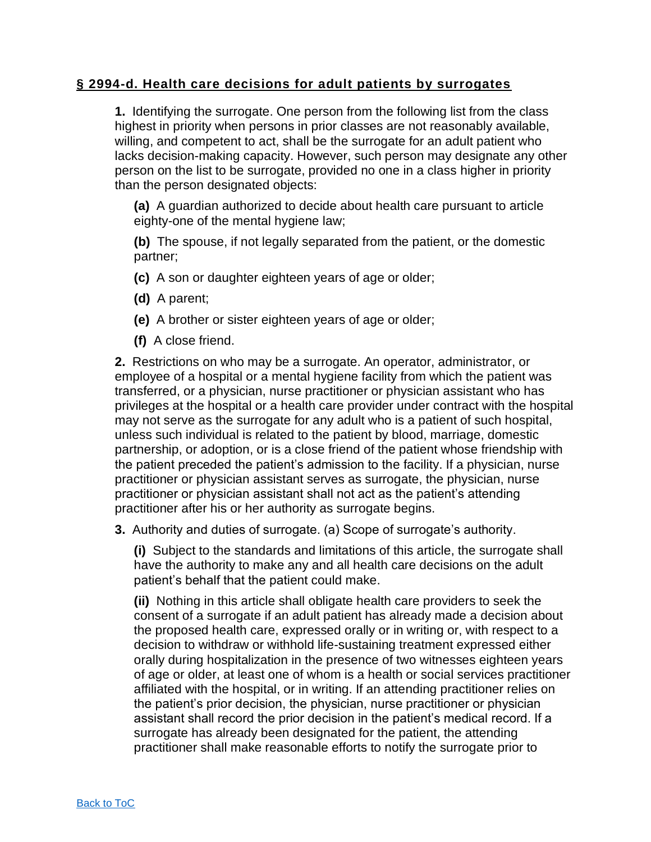## <span id="page-9-0"></span>**§ 2994-d. Health care decisions for adult patients by surrogates**

**1.** Identifying the surrogate. One person from the following list from the class highest in priority when persons in prior classes are not reasonably available, willing, and competent to act, shall be the surrogate for an adult patient who lacks decision-making capacity. However, such person may designate any other person on the list to be surrogate, provided no one in a class higher in priority than the person designated objects:

**(a)** A guardian authorized to decide about health care pursuant to article eighty-one of the mental hygiene law;

**(b)** The spouse, if not legally separated from the patient, or the domestic partner;

- **(c)** A son or daughter eighteen years of age or older;
- **(d)** A parent;
- **(e)** A brother or sister eighteen years of age or older;
- **(f)** A close friend.

**2.** Restrictions on who may be a surrogate. An operator, administrator, or employee of a hospital or a mental hygiene facility from which the patient was transferred, or a physician, nurse practitioner or physician assistant who has privileges at the hospital or a health care provider under contract with the hospital may not serve as the surrogate for any adult who is a patient of such hospital, unless such individual is related to the patient by blood, marriage, domestic partnership, or adoption, or is a close friend of the patient whose friendship with the patient preceded the patient's admission to the facility. If a physician, nurse practitioner or physician assistant serves as surrogate, the physician, nurse practitioner or physician assistant shall not act as the patient's attending practitioner after his or her authority as surrogate begins.

**3.** Authority and duties of surrogate. (a) Scope of surrogate's authority.

**(i)** Subject to the standards and limitations of this article, the surrogate shall have the authority to make any and all health care decisions on the adult patient's behalf that the patient could make.

**(ii)** Nothing in this article shall obligate health care providers to seek the consent of a surrogate if an adult patient has already made a decision about the proposed health care, expressed orally or in writing or, with respect to a decision to withdraw or withhold life-sustaining treatment expressed either orally during hospitalization in the presence of two witnesses eighteen years of age or older, at least one of whom is a health or social services practitioner affiliated with the hospital, or in writing. If an attending practitioner relies on the patient's prior decision, the physician, nurse practitioner or physician assistant shall record the prior decision in the patient's medical record. If a surrogate has already been designated for the patient, the attending practitioner shall make reasonable efforts to notify the surrogate prior to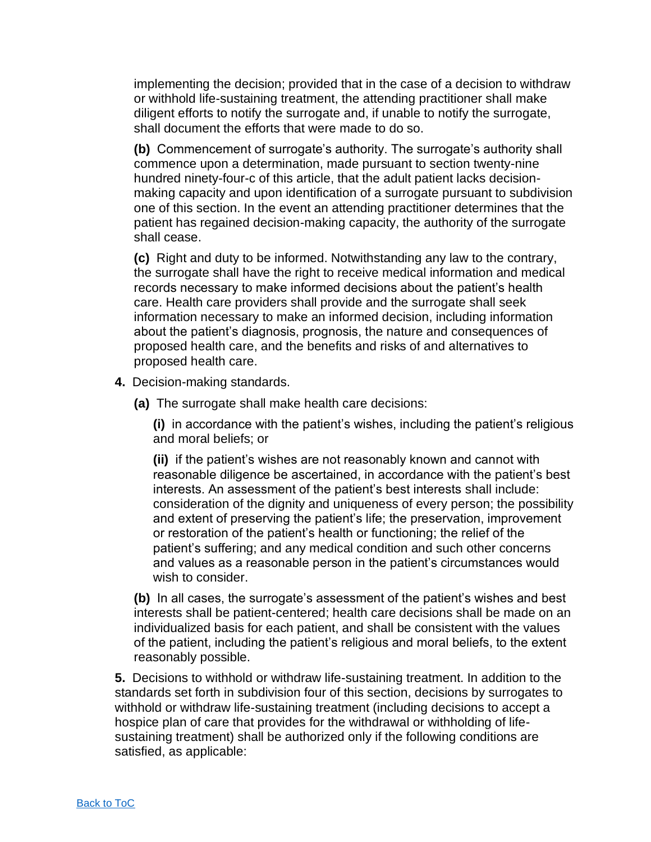implementing the decision; provided that in the case of a decision to withdraw or withhold life-sustaining treatment, the attending practitioner shall make diligent efforts to notify the surrogate and, if unable to notify the surrogate, shall document the efforts that were made to do so.

**(b)** Commencement of surrogate's authority. The surrogate's authority shall commence upon a determination, made pursuant to section twenty-nine hundred ninety-four-c of this article, that the adult patient lacks decisionmaking capacity and upon identification of a surrogate pursuant to subdivision one of this section. In the event an attending practitioner determines that the patient has regained decision-making capacity, the authority of the surrogate shall cease.

**(c)** Right and duty to be informed. Notwithstanding any law to the contrary, the surrogate shall have the right to receive medical information and medical records necessary to make informed decisions about the patient's health care. Health care providers shall provide and the surrogate shall seek information necessary to make an informed decision, including information about the patient's diagnosis, prognosis, the nature and consequences of proposed health care, and the benefits and risks of and alternatives to proposed health care.

- **4.** Decision-making standards.
	- **(a)** The surrogate shall make health care decisions:

**(i)** in accordance with the patient's wishes, including the patient's religious and moral beliefs; or

**(ii)** if the patient's wishes are not reasonably known and cannot with reasonable diligence be ascertained, in accordance with the patient's best interests. An assessment of the patient's best interests shall include: consideration of the dignity and uniqueness of every person; the possibility and extent of preserving the patient's life; the preservation, improvement or restoration of the patient's health or functioning; the relief of the patient's suffering; and any medical condition and such other concerns and values as a reasonable person in the patient's circumstances would wish to consider.

**(b)** In all cases, the surrogate's assessment of the patient's wishes and best interests shall be patient-centered; health care decisions shall be made on an individualized basis for each patient, and shall be consistent with the values of the patient, including the patient's religious and moral beliefs, to the extent reasonably possible.

**5.** Decisions to withhold or withdraw life-sustaining treatment. In addition to the standards set forth in subdivision four of this section, decisions by surrogates to withhold or withdraw life-sustaining treatment (including decisions to accept a hospice plan of care that provides for the withdrawal or withholding of lifesustaining treatment) shall be authorized only if the following conditions are satisfied, as applicable: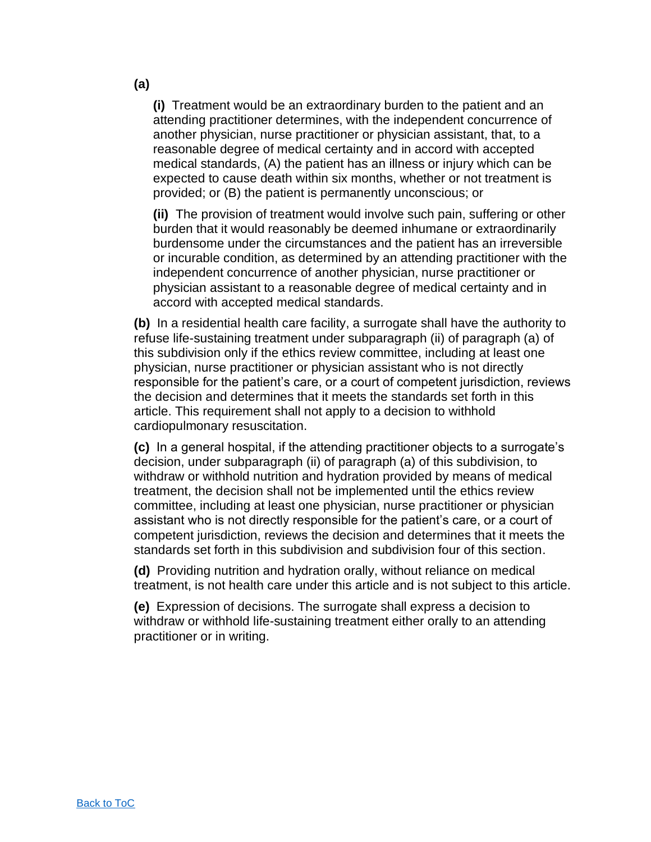**(i)** Treatment would be an extraordinary burden to the patient and an attending practitioner determines, with the independent concurrence of another physician, nurse practitioner or physician assistant, that, to a reasonable degree of medical certainty and in accord with accepted medical standards, (A) the patient has an illness or injury which can be expected to cause death within six months, whether or not treatment is provided; or (B) the patient is permanently unconscious; or

**(ii)** The provision of treatment would involve such pain, suffering or other burden that it would reasonably be deemed inhumane or extraordinarily burdensome under the circumstances and the patient has an irreversible or incurable condition, as determined by an attending practitioner with the independent concurrence of another physician, nurse practitioner or physician assistant to a reasonable degree of medical certainty and in accord with accepted medical standards.

**(b)** In a residential health care facility, a surrogate shall have the authority to refuse life-sustaining treatment under subparagraph (ii) of paragraph (a) of this subdivision only if the ethics review committee, including at least one physician, nurse practitioner or physician assistant who is not directly responsible for the patient's care, or a court of competent jurisdiction, reviews the decision and determines that it meets the standards set forth in this article. This requirement shall not apply to a decision to withhold cardiopulmonary resuscitation.

**(c)** In a general hospital, if the attending practitioner objects to a surrogate's decision, under subparagraph (ii) of paragraph (a) of this subdivision, to withdraw or withhold nutrition and hydration provided by means of medical treatment, the decision shall not be implemented until the ethics review committee, including at least one physician, nurse practitioner or physician assistant who is not directly responsible for the patient's care, or a court of competent jurisdiction, reviews the decision and determines that it meets the standards set forth in this subdivision and subdivision four of this section.

**(d)** Providing nutrition and hydration orally, without reliance on medical treatment, is not health care under this article and is not subject to this article.

**(e)** Expression of decisions. The surrogate shall express a decision to withdraw or withhold life-sustaining treatment either orally to an attending practitioner or in writing.

**(a)**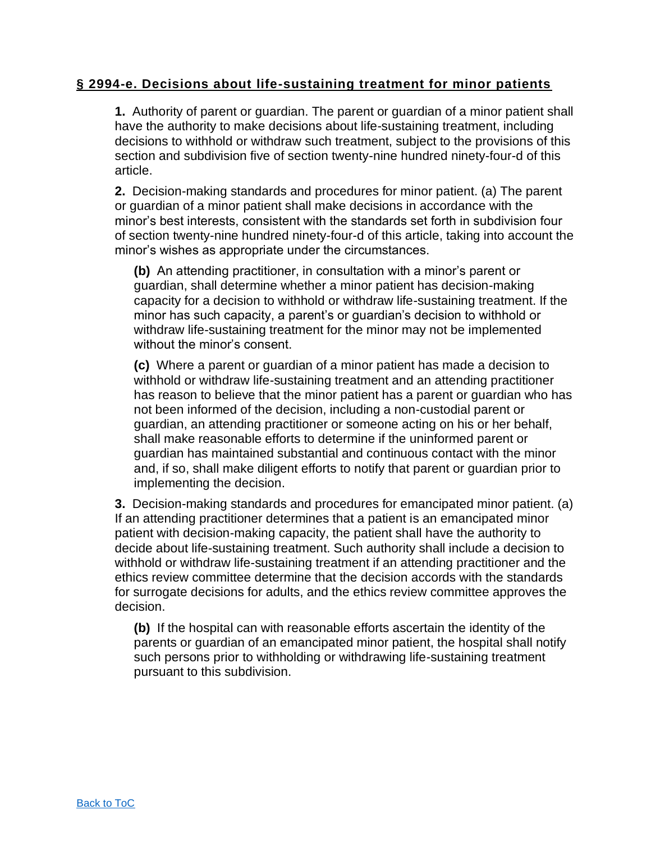# <span id="page-12-0"></span>**§ 2994-e. Decisions about life-sustaining treatment for minor patients**

**1.** Authority of parent or guardian. The parent or guardian of a minor patient shall have the authority to make decisions about life-sustaining treatment, including decisions to withhold or withdraw such treatment, subject to the provisions of this section and subdivision five of section twenty-nine hundred ninety-four-d of this article.

**2.** Decision-making standards and procedures for minor patient. (a) The parent or guardian of a minor patient shall make decisions in accordance with the minor's best interests, consistent with the standards set forth in subdivision four of section twenty-nine hundred ninety-four-d of this article, taking into account the minor's wishes as appropriate under the circumstances.

**(b)** An attending practitioner, in consultation with a minor's parent or guardian, shall determine whether a minor patient has decision-making capacity for a decision to withhold or withdraw life-sustaining treatment. If the minor has such capacity, a parent's or guardian's decision to withhold or withdraw life-sustaining treatment for the minor may not be implemented without the minor's consent.

**(c)** Where a parent or guardian of a minor patient has made a decision to withhold or withdraw life-sustaining treatment and an attending practitioner has reason to believe that the minor patient has a parent or guardian who has not been informed of the decision, including a non-custodial parent or guardian, an attending practitioner or someone acting on his or her behalf, shall make reasonable efforts to determine if the uninformed parent or guardian has maintained substantial and continuous contact with the minor and, if so, shall make diligent efforts to notify that parent or guardian prior to implementing the decision.

**3.** Decision-making standards and procedures for emancipated minor patient. (a) If an attending practitioner determines that a patient is an emancipated minor patient with decision-making capacity, the patient shall have the authority to decide about life-sustaining treatment. Such authority shall include a decision to withhold or withdraw life-sustaining treatment if an attending practitioner and the ethics review committee determine that the decision accords with the standards for surrogate decisions for adults, and the ethics review committee approves the decision.

**(b)** If the hospital can with reasonable efforts ascertain the identity of the parents or guardian of an emancipated minor patient, the hospital shall notify such persons prior to withholding or withdrawing life-sustaining treatment pursuant to this subdivision.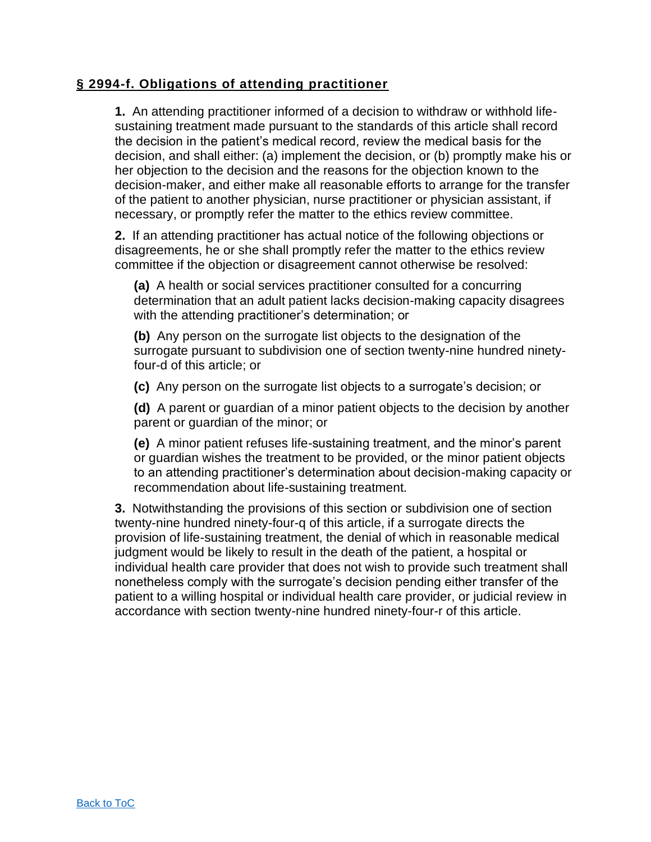# <span id="page-13-0"></span>**§ 2994-f. Obligations of attending practitioner**

**1.** An attending practitioner informed of a decision to withdraw or withhold lifesustaining treatment made pursuant to the standards of this article shall record the decision in the patient's medical record, review the medical basis for the decision, and shall either: (a) implement the decision, or (b) promptly make his or her objection to the decision and the reasons for the objection known to the decision-maker, and either make all reasonable efforts to arrange for the transfer of the patient to another physician, nurse practitioner or physician assistant, if necessary, or promptly refer the matter to the ethics review committee.

**2.** If an attending practitioner has actual notice of the following objections or disagreements, he or she shall promptly refer the matter to the ethics review committee if the objection or disagreement cannot otherwise be resolved:

**(a)** A health or social services practitioner consulted for a concurring determination that an adult patient lacks decision-making capacity disagrees with the attending practitioner's determination; or

**(b)** Any person on the surrogate list objects to the designation of the surrogate pursuant to subdivision one of section twenty-nine hundred ninetyfour-d of this article; or

**(c)** Any person on the surrogate list objects to a surrogate's decision; or

**(d)** A parent or guardian of a minor patient objects to the decision by another parent or guardian of the minor; or

**(e)** A minor patient refuses life-sustaining treatment, and the minor's parent or guardian wishes the treatment to be provided, or the minor patient objects to an attending practitioner's determination about decision-making capacity or recommendation about life-sustaining treatment.

**3.** Notwithstanding the provisions of this section or subdivision one of section twenty-nine hundred ninety-four-q of this article, if a surrogate directs the provision of life-sustaining treatment, the denial of which in reasonable medical judgment would be likely to result in the death of the patient, a hospital or individual health care provider that does not wish to provide such treatment shall nonetheless comply with the surrogate's decision pending either transfer of the patient to a willing hospital or individual health care provider, or judicial review in accordance with section twenty-nine hundred ninety-four-r of this article.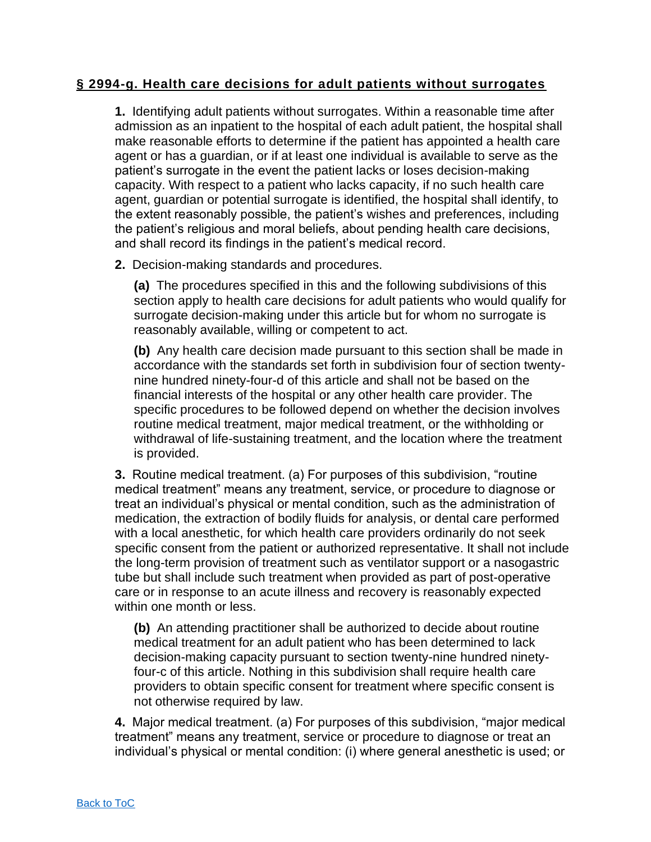## <span id="page-14-0"></span>**§ 2994-g. Health care decisions for adult patients without surrogates**

**1.** Identifying adult patients without surrogates. Within a reasonable time after admission as an inpatient to the hospital of each adult patient, the hospital shall make reasonable efforts to determine if the patient has appointed a health care agent or has a guardian, or if at least one individual is available to serve as the patient's surrogate in the event the patient lacks or loses decision-making capacity. With respect to a patient who lacks capacity, if no such health care agent, guardian or potential surrogate is identified, the hospital shall identify, to the extent reasonably possible, the patient's wishes and preferences, including the patient's religious and moral beliefs, about pending health care decisions, and shall record its findings in the patient's medical record.

**2.** Decision-making standards and procedures.

**(a)** The procedures specified in this and the following subdivisions of this section apply to health care decisions for adult patients who would qualify for surrogate decision-making under this article but for whom no surrogate is reasonably available, willing or competent to act.

**(b)** Any health care decision made pursuant to this section shall be made in accordance with the standards set forth in subdivision four of section twentynine hundred ninety-four-d of this article and shall not be based on the financial interests of the hospital or any other health care provider. The specific procedures to be followed depend on whether the decision involves routine medical treatment, major medical treatment, or the withholding or withdrawal of life-sustaining treatment, and the location where the treatment is provided.

**3.** Routine medical treatment. (a) For purposes of this subdivision, "routine medical treatment" means any treatment, service, or procedure to diagnose or treat an individual's physical or mental condition, such as the administration of medication, the extraction of bodily fluids for analysis, or dental care performed with a local anesthetic, for which health care providers ordinarily do not seek specific consent from the patient or authorized representative. It shall not include the long-term provision of treatment such as ventilator support or a nasogastric tube but shall include such treatment when provided as part of post-operative care or in response to an acute illness and recovery is reasonably expected within one month or less.

**(b)** An attending practitioner shall be authorized to decide about routine medical treatment for an adult patient who has been determined to lack decision-making capacity pursuant to section twenty-nine hundred ninetyfour-c of this article. Nothing in this subdivision shall require health care providers to obtain specific consent for treatment where specific consent is not otherwise required by law.

**4.** Major medical treatment. (a) For purposes of this subdivision, "major medical treatment" means any treatment, service or procedure to diagnose or treat an individual's physical or mental condition: (i) where general anesthetic is used; or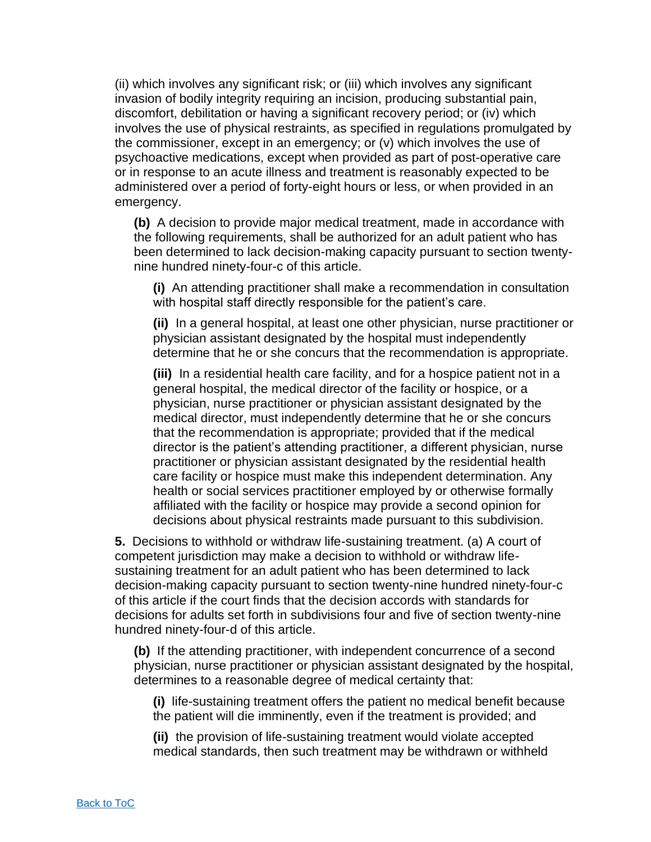(ii) which involves any significant risk; or (iii) which involves any significant invasion of bodily integrity requiring an incision, producing substantial pain, discomfort, debilitation or having a significant recovery period; or (iv) which involves the use of physical restraints, as specified in regulations promulgated by the commissioner, except in an emergency; or (v) which involves the use of psychoactive medications, except when provided as part of post-operative care or in response to an acute illness and treatment is reasonably expected to be administered over a period of forty-eight hours or less, or when provided in an emergency.

**(b)** A decision to provide major medical treatment, made in accordance with the following requirements, shall be authorized for an adult patient who has been determined to lack decision-making capacity pursuant to section twentynine hundred ninety-four-c of this article.

**(i)** An attending practitioner shall make a recommendation in consultation with hospital staff directly responsible for the patient's care.

**(ii)** In a general hospital, at least one other physician, nurse practitioner or physician assistant designated by the hospital must independently determine that he or she concurs that the recommendation is appropriate.

**(iii)** In a residential health care facility, and for a hospice patient not in a general hospital, the medical director of the facility or hospice, or a physician, nurse practitioner or physician assistant designated by the medical director, must independently determine that he or she concurs that the recommendation is appropriate; provided that if the medical director is the patient's attending practitioner, a different physician, nurse practitioner or physician assistant designated by the residential health care facility or hospice must make this independent determination. Any health or social services practitioner employed by or otherwise formally affiliated with the facility or hospice may provide a second opinion for decisions about physical restraints made pursuant to this subdivision.

**5.** Decisions to withhold or withdraw life-sustaining treatment. (a) A court of competent jurisdiction may make a decision to withhold or withdraw lifesustaining treatment for an adult patient who has been determined to lack decision-making capacity pursuant to section twenty-nine hundred ninety-four-c of this article if the court finds that the decision accords with standards for decisions for adults set forth in subdivisions four and five of section twenty-nine hundred ninety-four-d of this article.

**(b)** If the attending practitioner, with independent concurrence of a second physician, nurse practitioner or physician assistant designated by the hospital, determines to a reasonable degree of medical certainty that:

**(i)** life-sustaining treatment offers the patient no medical benefit because the patient will die imminently, even if the treatment is provided; and

**(ii)** the provision of life-sustaining treatment would violate accepted medical standards, then such treatment may be withdrawn or withheld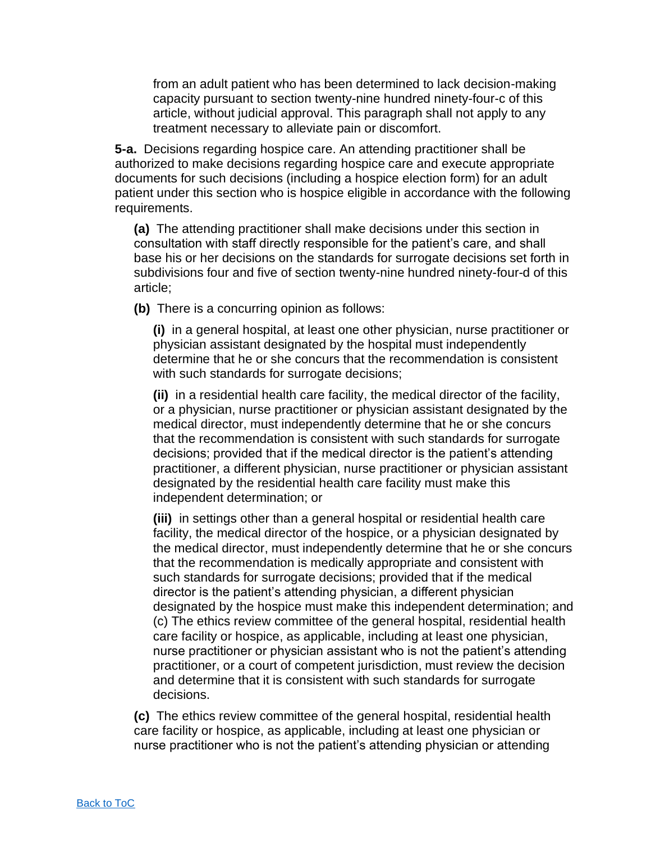from an adult patient who has been determined to lack decision-making capacity pursuant to section twenty-nine hundred ninety-four-c of this article, without judicial approval. This paragraph shall not apply to any treatment necessary to alleviate pain or discomfort.

**5-a.** Decisions regarding hospice care. An attending practitioner shall be authorized to make decisions regarding hospice care and execute appropriate documents for such decisions (including a hospice election form) for an adult patient under this section who is hospice eligible in accordance with the following requirements.

**(a)** The attending practitioner shall make decisions under this section in consultation with staff directly responsible for the patient's care, and shall base his or her decisions on the standards for surrogate decisions set forth in subdivisions four and five of section twenty-nine hundred ninety-four-d of this article;

**(b)** There is a concurring opinion as follows:

**(i)** in a general hospital, at least one other physician, nurse practitioner or physician assistant designated by the hospital must independently determine that he or she concurs that the recommendation is consistent with such standards for surrogate decisions;

**(ii)** in a residential health care facility, the medical director of the facility, or a physician, nurse practitioner or physician assistant designated by the medical director, must independently determine that he or she concurs that the recommendation is consistent with such standards for surrogate decisions; provided that if the medical director is the patient's attending practitioner, a different physician, nurse practitioner or physician assistant designated by the residential health care facility must make this independent determination; or

**(iii)** in settings other than a general hospital or residential health care facility, the medical director of the hospice, or a physician designated by the medical director, must independently determine that he or she concurs that the recommendation is medically appropriate and consistent with such standards for surrogate decisions; provided that if the medical director is the patient's attending physician, a different physician designated by the hospice must make this independent determination; and (c) The ethics review committee of the general hospital, residential health care facility or hospice, as applicable, including at least one physician, nurse practitioner or physician assistant who is not the patient's attending practitioner, or a court of competent jurisdiction, must review the decision and determine that it is consistent with such standards for surrogate decisions.

**(c)** The ethics review committee of the general hospital, residential health care facility or hospice, as applicable, including at least one physician or nurse practitioner who is not the patient's attending physician or attending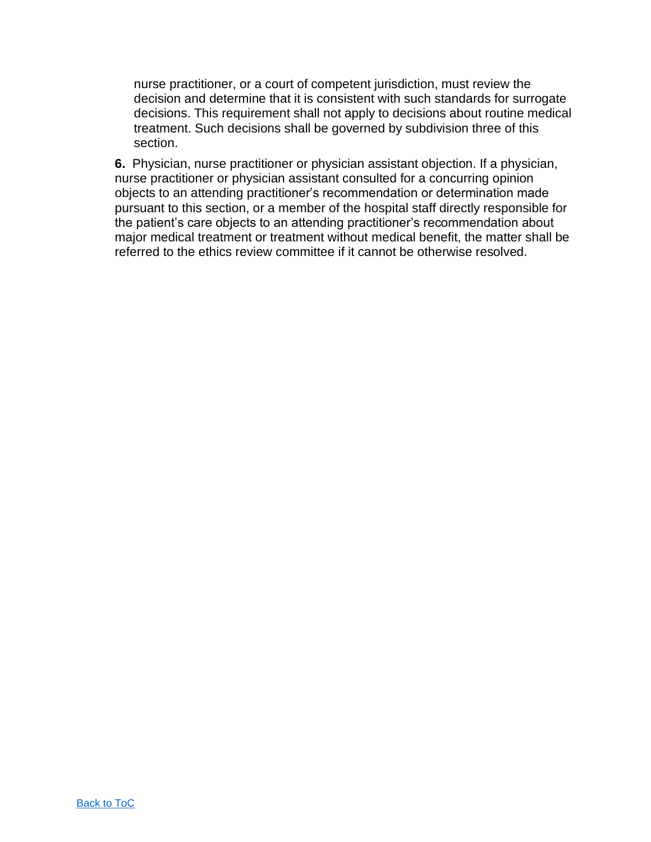nurse practitioner, or a court of competent jurisdiction, must review the decision and determine that it is consistent with such standards for surrogate decisions. This requirement shall not apply to decisions about routine medical treatment. Such decisions shall be governed by subdivision three of this section.

**6.** Physician, nurse practitioner or physician assistant objection. If a physician, nurse practitioner or physician assistant consulted for a concurring opinion objects to an attending practitioner's recommendation or determination made pursuant to this section, or a member of the hospital staff directly responsible for the patient's care objects to an attending practitioner's recommendation about major medical treatment or treatment without medical benefit, the matter shall be referred to the ethics review committee if it cannot be otherwise resolved.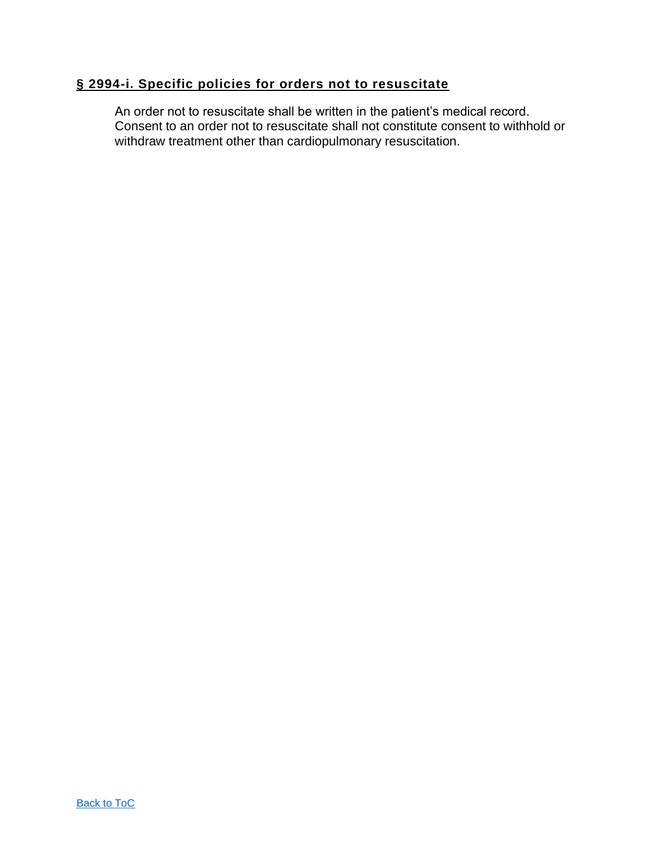# <span id="page-18-0"></span>**§ 2994-i. Specific policies for orders not to resuscitate**

An order not to resuscitate shall be written in the patient's medical record. Consent to an order not to resuscitate shall not constitute consent to withhold or withdraw treatment other than cardiopulmonary resuscitation.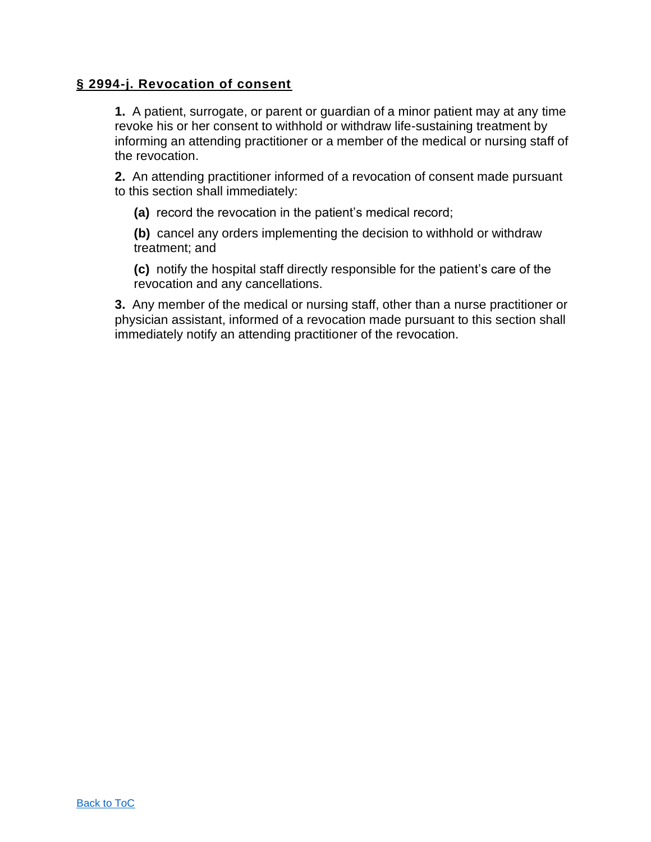# <span id="page-19-0"></span>**§ 2994-j. Revocation of consent**

**1.** A patient, surrogate, or parent or guardian of a minor patient may at any time revoke his or her consent to withhold or withdraw life-sustaining treatment by informing an attending practitioner or a member of the medical or nursing staff of the revocation.

**2.** An attending practitioner informed of a revocation of consent made pursuant to this section shall immediately:

**(a)** record the revocation in the patient's medical record;

**(b)** cancel any orders implementing the decision to withhold or withdraw treatment; and

**(c)** notify the hospital staff directly responsible for the patient's care of the revocation and any cancellations.

**3.** Any member of the medical or nursing staff, other than a nurse practitioner or physician assistant, informed of a revocation made pursuant to this section shall immediately notify an attending practitioner of the revocation.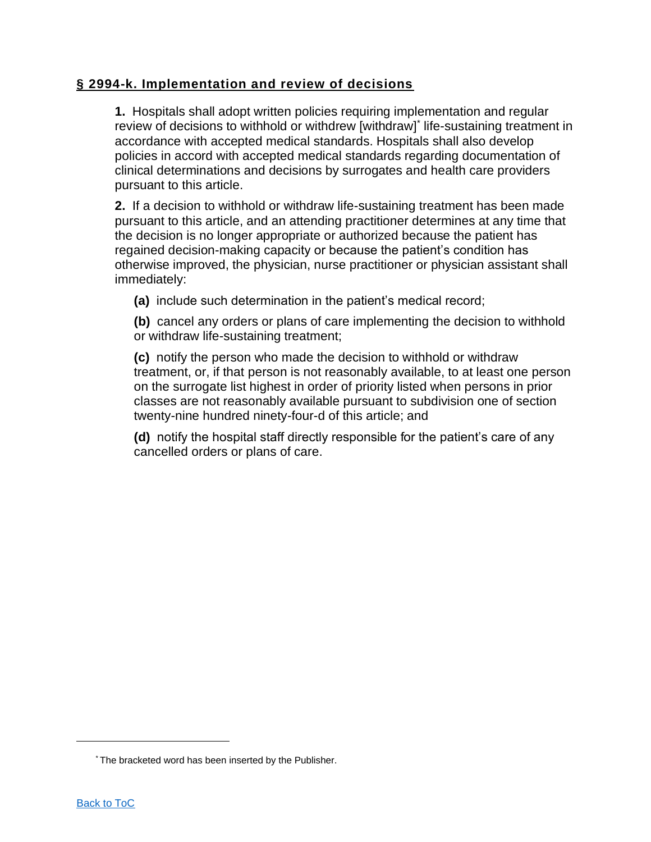# <span id="page-20-0"></span>**§ 2994-k. Implementation and review of decisions**

**1.** Hospitals shall adopt written policies requiring implementation and regular review of decisions to withhold or withdrew [withdraw]<sup>\*</sup> life-sustaining treatment in accordance with accepted medical standards. Hospitals shall also develop policies in accord with accepted medical standards regarding documentation of clinical determinations and decisions by surrogates and health care providers pursuant to this article.

**2.** If a decision to withhold or withdraw life-sustaining treatment has been made pursuant to this article, and an attending practitioner determines at any time that the decision is no longer appropriate or authorized because the patient has regained decision-making capacity or because the patient's condition has otherwise improved, the physician, nurse practitioner or physician assistant shall immediately:

**(a)** include such determination in the patient's medical record;

**(b)** cancel any orders or plans of care implementing the decision to withhold or withdraw life-sustaining treatment;

**(c)** notify the person who made the decision to withhold or withdraw treatment, or, if that person is not reasonably available, to at least one person on the surrogate list highest in order of priority listed when persons in prior classes are not reasonably available pursuant to subdivision one of section twenty-nine hundred ninety-four-d of this article; and

**(d)** notify the hospital staff directly responsible for the patient's care of any cancelled orders or plans of care.

<sup>\*</sup> The bracketed word has been inserted by the Publisher.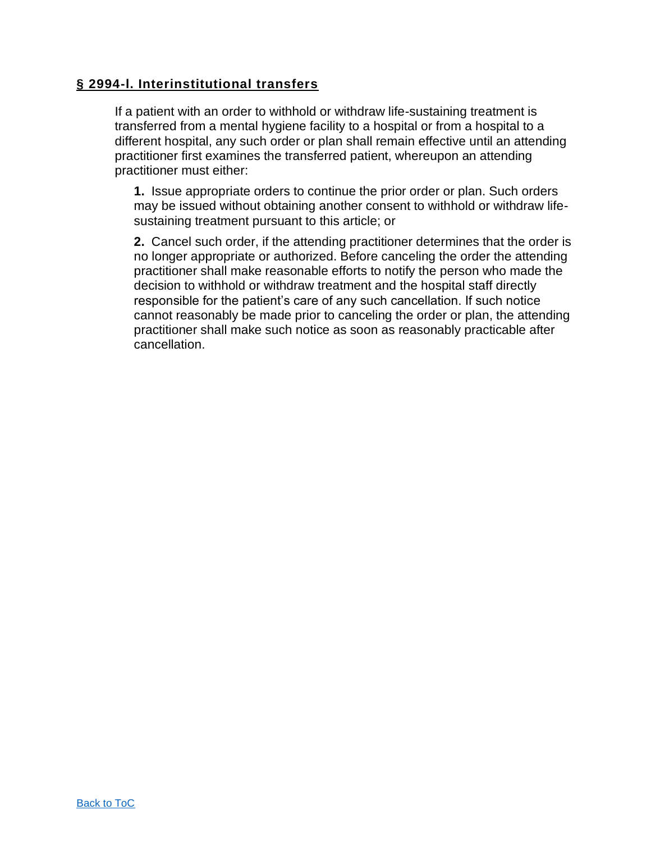# <span id="page-21-0"></span>**§ 2994-l. Interinstitutional transfers**

If a patient with an order to withhold or withdraw life-sustaining treatment is transferred from a mental hygiene facility to a hospital or from a hospital to a different hospital, any such order or plan shall remain effective until an attending practitioner first examines the transferred patient, whereupon an attending practitioner must either:

**1.** Issue appropriate orders to continue the prior order or plan. Such orders may be issued without obtaining another consent to withhold or withdraw lifesustaining treatment pursuant to this article; or

**2.** Cancel such order, if the attending practitioner determines that the order is no longer appropriate or authorized. Before canceling the order the attending practitioner shall make reasonable efforts to notify the person who made the decision to withhold or withdraw treatment and the hospital staff directly responsible for the patient's care of any such cancellation. If such notice cannot reasonably be made prior to canceling the order or plan, the attending practitioner shall make such notice as soon as reasonably practicable after cancellation.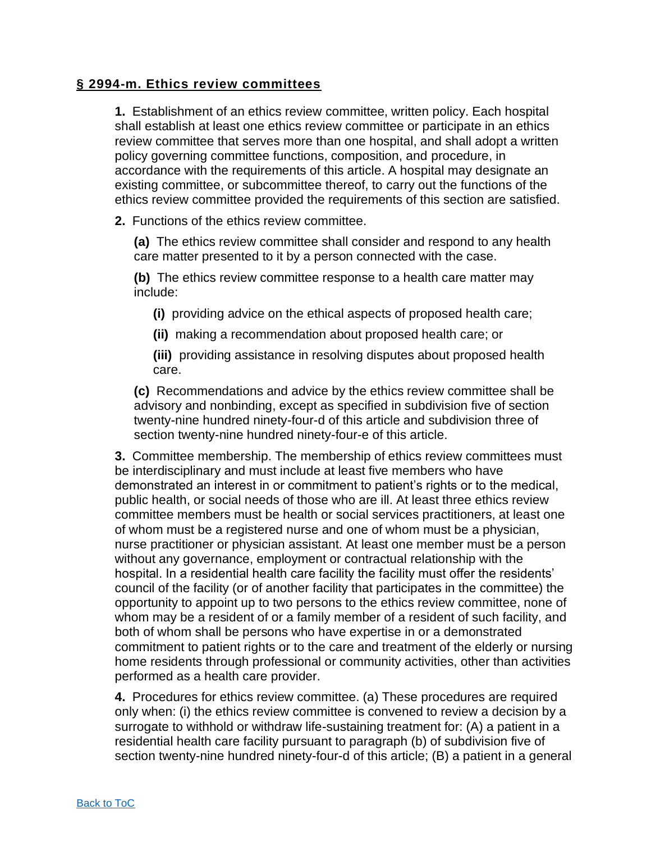#### <span id="page-22-0"></span>**§ 2994-m. Ethics review committees**

**1.** Establishment of an ethics review committee, written policy. Each hospital shall establish at least one ethics review committee or participate in an ethics review committee that serves more than one hospital, and shall adopt a written policy governing committee functions, composition, and procedure, in accordance with the requirements of this article. A hospital may designate an existing committee, or subcommittee thereof, to carry out the functions of the ethics review committee provided the requirements of this section are satisfied.

**2.** Functions of the ethics review committee.

**(a)** The ethics review committee shall consider and respond to any health care matter presented to it by a person connected with the case.

**(b)** The ethics review committee response to a health care matter may include:

**(i)** providing advice on the ethical aspects of proposed health care;

**(ii)** making a recommendation about proposed health care; or

**(iii)** providing assistance in resolving disputes about proposed health care.

**(c)** Recommendations and advice by the ethics review committee shall be advisory and nonbinding, except as specified in subdivision five of section twenty-nine hundred ninety-four-d of this article and subdivision three of section twenty-nine hundred ninety-four-e of this article.

**3.** Committee membership. The membership of ethics review committees must be interdisciplinary and must include at least five members who have demonstrated an interest in or commitment to patient's rights or to the medical, public health, or social needs of those who are ill. At least three ethics review committee members must be health or social services practitioners, at least one of whom must be a registered nurse and one of whom must be a physician, nurse practitioner or physician assistant. At least one member must be a person without any governance, employment or contractual relationship with the hospital. In a residential health care facility the facility must offer the residents' council of the facility (or of another facility that participates in the committee) the opportunity to appoint up to two persons to the ethics review committee, none of whom may be a resident of or a family member of a resident of such facility, and both of whom shall be persons who have expertise in or a demonstrated commitment to patient rights or to the care and treatment of the elderly or nursing home residents through professional or community activities, other than activities performed as a health care provider.

**4.** Procedures for ethics review committee. (a) These procedures are required only when: (i) the ethics review committee is convened to review a decision by a surrogate to withhold or withdraw life-sustaining treatment for: (A) a patient in a residential health care facility pursuant to paragraph (b) of subdivision five of section twenty-nine hundred ninety-four-d of this article; (B) a patient in a general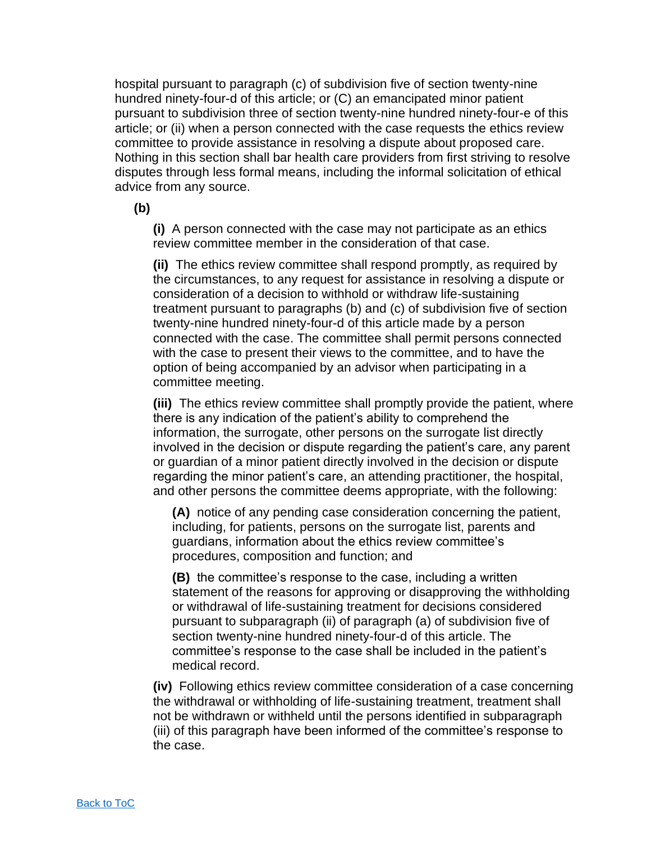hospital pursuant to paragraph (c) of subdivision five of section twenty-nine hundred ninety-four-d of this article; or (C) an emancipated minor patient pursuant to subdivision three of section twenty-nine hundred ninety-four-e of this article; or (ii) when a person connected with the case requests the ethics review committee to provide assistance in resolving a dispute about proposed care. Nothing in this section shall bar health care providers from first striving to resolve disputes through less formal means, including the informal solicitation of ethical advice from any source.

**(b)** 

**(i)** A person connected with the case may not participate as an ethics review committee member in the consideration of that case.

**(ii)** The ethics review committee shall respond promptly, as required by the circumstances, to any request for assistance in resolving a dispute or consideration of a decision to withhold or withdraw life-sustaining treatment pursuant to paragraphs (b) and (c) of subdivision five of section twenty-nine hundred ninety-four-d of this article made by a person connected with the case. The committee shall permit persons connected with the case to present their views to the committee, and to have the option of being accompanied by an advisor when participating in a committee meeting.

**(iii)** The ethics review committee shall promptly provide the patient, where there is any indication of the patient's ability to comprehend the information, the surrogate, other persons on the surrogate list directly involved in the decision or dispute regarding the patient's care, any parent or guardian of a minor patient directly involved in the decision or dispute regarding the minor patient's care, an attending practitioner, the hospital, and other persons the committee deems appropriate, with the following:

**(A)** notice of any pending case consideration concerning the patient, including, for patients, persons on the surrogate list, parents and guardians, information about the ethics review committee's procedures, composition and function; and

**(B)** the committee's response to the case, including a written statement of the reasons for approving or disapproving the withholding or withdrawal of life-sustaining treatment for decisions considered pursuant to subparagraph (ii) of paragraph (a) of subdivision five of section twenty-nine hundred ninety-four-d of this article. The committee's response to the case shall be included in the patient's medical record.

**(iv)** Following ethics review committee consideration of a case concerning the withdrawal or withholding of life-sustaining treatment, treatment shall not be withdrawn or withheld until the persons identified in subparagraph (iii) of this paragraph have been informed of the committee's response to the case.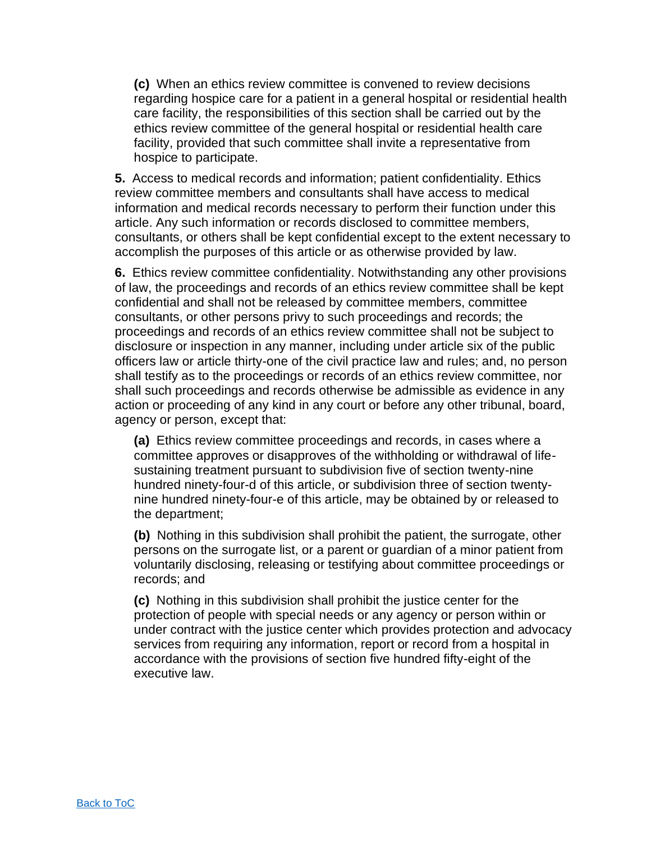**(c)** When an ethics review committee is convened to review decisions regarding hospice care for a patient in a general hospital or residential health care facility, the responsibilities of this section shall be carried out by the ethics review committee of the general hospital or residential health care facility, provided that such committee shall invite a representative from hospice to participate.

**5.** Access to medical records and information; patient confidentiality. Ethics review committee members and consultants shall have access to medical information and medical records necessary to perform their function under this article. Any such information or records disclosed to committee members, consultants, or others shall be kept confidential except to the extent necessary to accomplish the purposes of this article or as otherwise provided by law.

**6.** Ethics review committee confidentiality. Notwithstanding any other provisions of law, the proceedings and records of an ethics review committee shall be kept confidential and shall not be released by committee members, committee consultants, or other persons privy to such proceedings and records; the proceedings and records of an ethics review committee shall not be subject to disclosure or inspection in any manner, including under article six of the public officers law or article thirty-one of the civil practice law and rules; and, no person shall testify as to the proceedings or records of an ethics review committee, nor shall such proceedings and records otherwise be admissible as evidence in any action or proceeding of any kind in any court or before any other tribunal, board, agency or person, except that:

**(a)** Ethics review committee proceedings and records, in cases where a committee approves or disapproves of the withholding or withdrawal of lifesustaining treatment pursuant to subdivision five of section twenty-nine hundred ninety-four-d of this article, or subdivision three of section twentynine hundred ninety-four-e of this article, may be obtained by or released to the department;

**(b)** Nothing in this subdivision shall prohibit the patient, the surrogate, other persons on the surrogate list, or a parent or guardian of a minor patient from voluntarily disclosing, releasing or testifying about committee proceedings or records; and

**(c)** Nothing in this subdivision shall prohibit the justice center for the protection of people with special needs or any agency or person within or under contract with the justice center which provides protection and advocacy services from requiring any information, report or record from a hospital in accordance with the provisions of section five hundred fifty-eight of the executive law.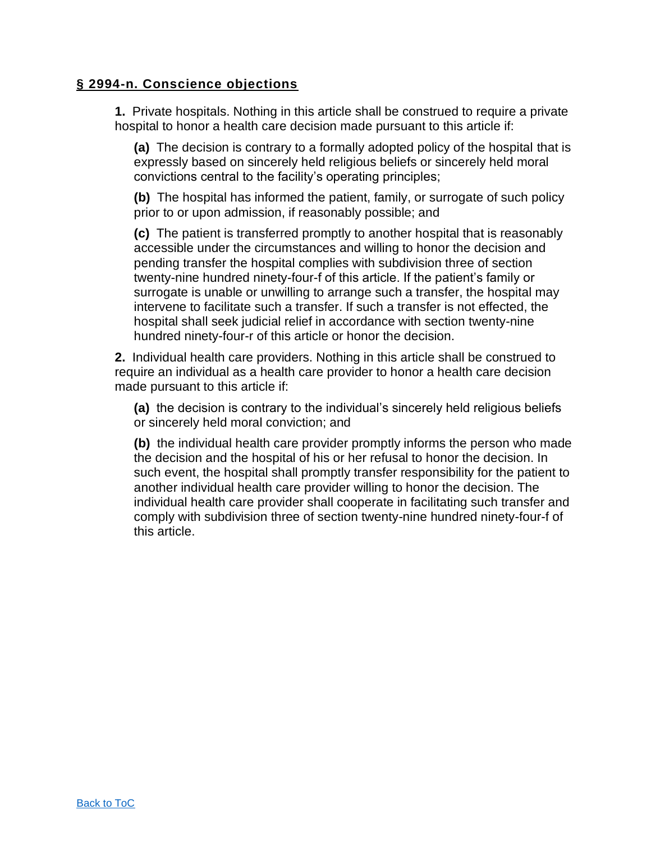# <span id="page-25-0"></span>**§ 2994-n. Conscience objections**

**1.** Private hospitals. Nothing in this article shall be construed to require a private hospital to honor a health care decision made pursuant to this article if:

**(a)** The decision is contrary to a formally adopted policy of the hospital that is expressly based on sincerely held religious beliefs or sincerely held moral convictions central to the facility's operating principles;

**(b)** The hospital has informed the patient, family, or surrogate of such policy prior to or upon admission, if reasonably possible; and

**(c)** The patient is transferred promptly to another hospital that is reasonably accessible under the circumstances and willing to honor the decision and pending transfer the hospital complies with subdivision three of section twenty-nine hundred ninety-four-f of this article. If the patient's family or surrogate is unable or unwilling to arrange such a transfer, the hospital may intervene to facilitate such a transfer. If such a transfer is not effected, the hospital shall seek judicial relief in accordance with section twenty-nine hundred ninety-four-r of this article or honor the decision.

**2.** Individual health care providers. Nothing in this article shall be construed to require an individual as a health care provider to honor a health care decision made pursuant to this article if:

**(a)** the decision is contrary to the individual's sincerely held religious beliefs or sincerely held moral conviction; and

**(b)** the individual health care provider promptly informs the person who made the decision and the hospital of his or her refusal to honor the decision. In such event, the hospital shall promptly transfer responsibility for the patient to another individual health care provider willing to honor the decision. The individual health care provider shall cooperate in facilitating such transfer and comply with subdivision three of section twenty-nine hundred ninety-four-f of this article.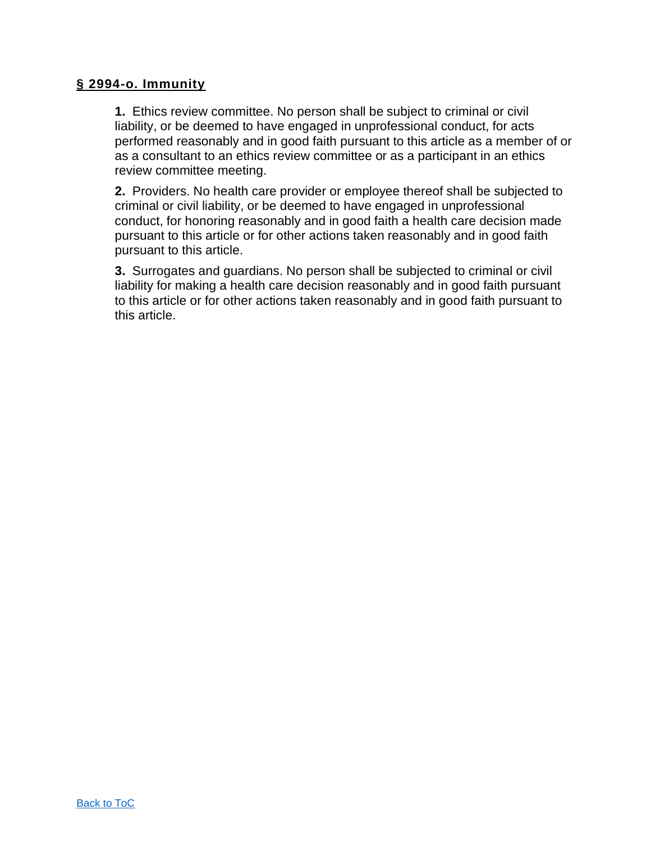#### <span id="page-26-0"></span>**§ 2994-o. Immunity**

**1.** Ethics review committee. No person shall be subject to criminal or civil liability, or be deemed to have engaged in unprofessional conduct, for acts performed reasonably and in good faith pursuant to this article as a member of or as a consultant to an ethics review committee or as a participant in an ethics review committee meeting.

**2.** Providers. No health care provider or employee thereof shall be subjected to criminal or civil liability, or be deemed to have engaged in unprofessional conduct, for honoring reasonably and in good faith a health care decision made pursuant to this article or for other actions taken reasonably and in good faith pursuant to this article.

**3.** Surrogates and guardians. No person shall be subjected to criminal or civil liability for making a health care decision reasonably and in good faith pursuant to this article or for other actions taken reasonably and in good faith pursuant to this article.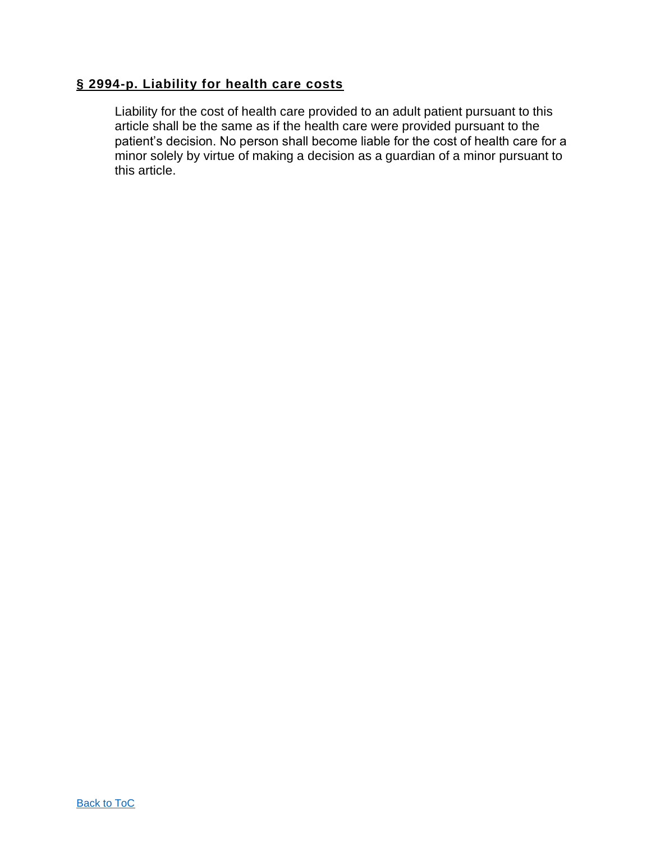# <span id="page-27-0"></span>**§ 2994-p. Liability for health care costs**

Liability for the cost of health care provided to an adult patient pursuant to this article shall be the same as if the health care were provided pursuant to the patient's decision. No person shall become liable for the cost of health care for a minor solely by virtue of making a decision as a guardian of a minor pursuant to this article.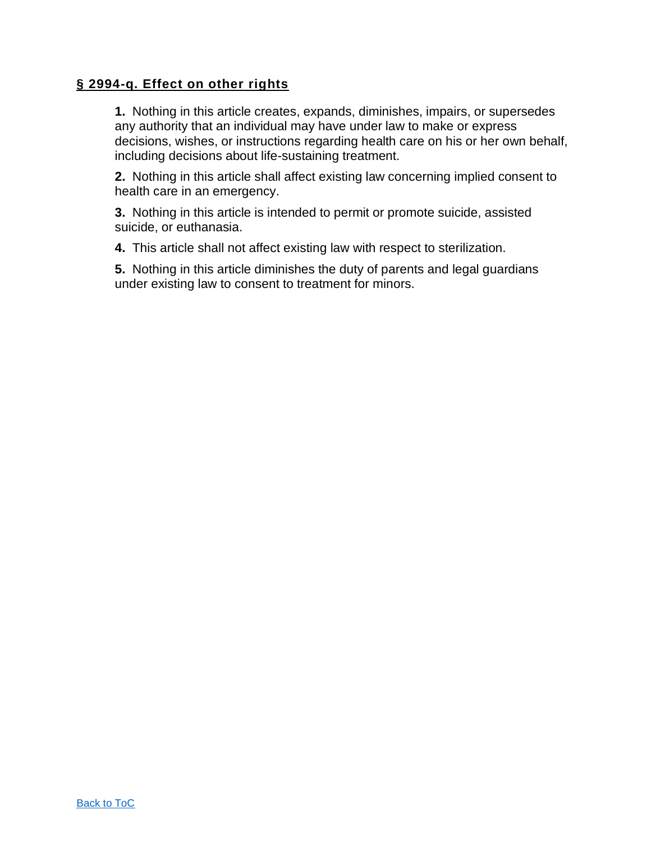# <span id="page-28-0"></span>**§ 2994-q. Effect on other rights**

**1.** Nothing in this article creates, expands, diminishes, impairs, or supersedes any authority that an individual may have under law to make or express decisions, wishes, or instructions regarding health care on his or her own behalf, including decisions about life-sustaining treatment.

**2.** Nothing in this article shall affect existing law concerning implied consent to health care in an emergency.

**3.** Nothing in this article is intended to permit or promote suicide, assisted suicide, or euthanasia.

**4.** This article shall not affect existing law with respect to sterilization.

**5.** Nothing in this article diminishes the duty of parents and legal guardians under existing law to consent to treatment for minors.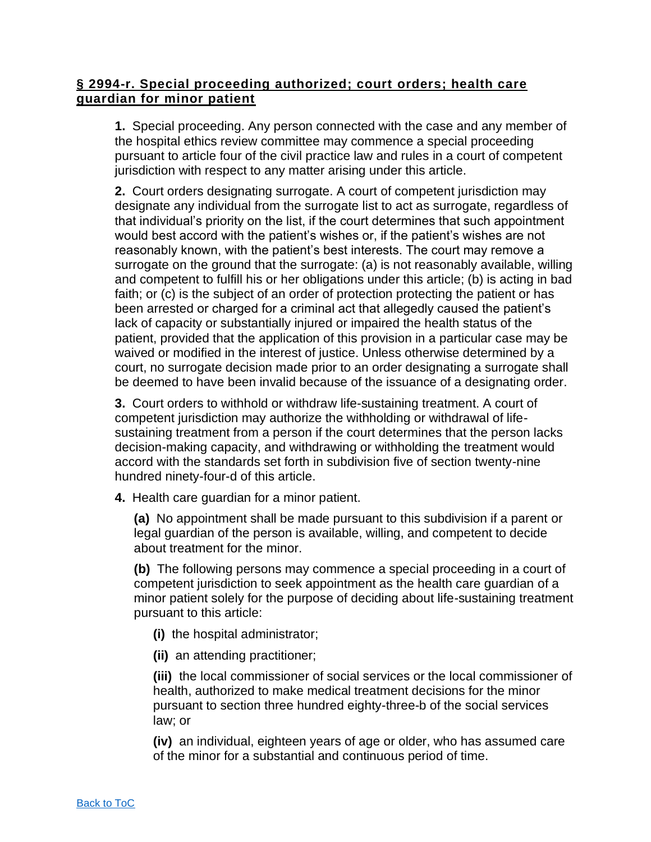## <span id="page-29-0"></span>**§ 2994-r. Special proceeding authorized; court orders; health care guardian for minor patient**

**1.** Special proceeding. Any person connected with the case and any member of the hospital ethics review committee may commence a special proceeding pursuant to article four of the civil practice law and rules in a court of competent jurisdiction with respect to any matter arising under this article.

**2.** Court orders designating surrogate. A court of competent jurisdiction may designate any individual from the surrogate list to act as surrogate, regardless of that individual's priority on the list, if the court determines that such appointment would best accord with the patient's wishes or, if the patient's wishes are not reasonably known, with the patient's best interests. The court may remove a surrogate on the ground that the surrogate: (a) is not reasonably available, willing and competent to fulfill his or her obligations under this article; (b) is acting in bad faith; or (c) is the subject of an order of protection protecting the patient or has been arrested or charged for a criminal act that allegedly caused the patient's lack of capacity or substantially injured or impaired the health status of the patient, provided that the application of this provision in a particular case may be waived or modified in the interest of justice. Unless otherwise determined by a court, no surrogate decision made prior to an order designating a surrogate shall be deemed to have been invalid because of the issuance of a designating order.

**3.** Court orders to withhold or withdraw life-sustaining treatment. A court of competent jurisdiction may authorize the withholding or withdrawal of lifesustaining treatment from a person if the court determines that the person lacks decision-making capacity, and withdrawing or withholding the treatment would accord with the standards set forth in subdivision five of section twenty-nine hundred ninety-four-d of this article.

**4.** Health care guardian for a minor patient.

**(a)** No appointment shall be made pursuant to this subdivision if a parent or legal guardian of the person is available, willing, and competent to decide about treatment for the minor.

**(b)** The following persons may commence a special proceeding in a court of competent jurisdiction to seek appointment as the health care guardian of a minor patient solely for the purpose of deciding about life-sustaining treatment pursuant to this article:

- **(i)** the hospital administrator;
- **(ii)** an attending practitioner;

**(iii)** the local commissioner of social services or the local commissioner of health, authorized to make medical treatment decisions for the minor pursuant to section three hundred eighty-three-b of the social services law; or

**(iv)** an individual, eighteen years of age or older, who has assumed care of the minor for a substantial and continuous period of time.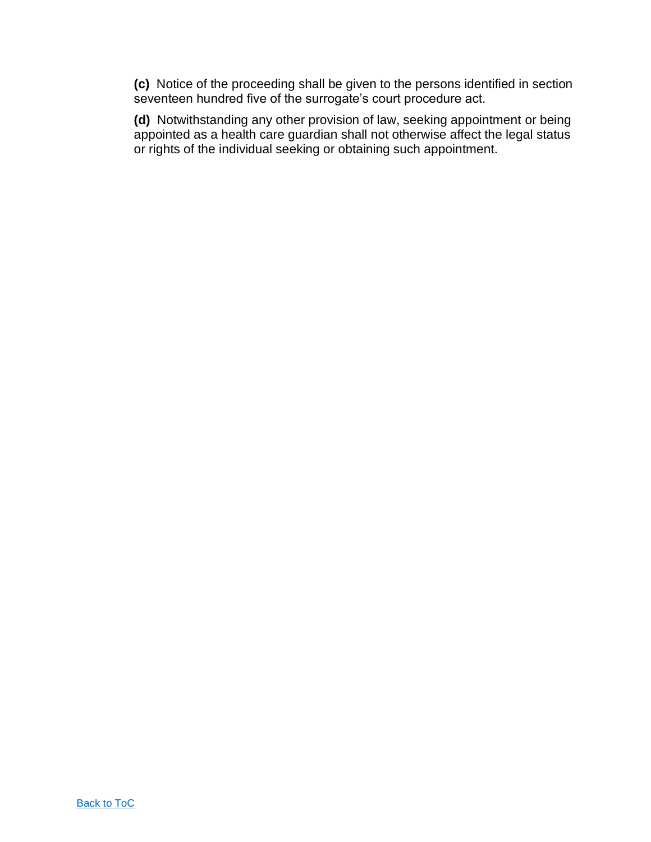**(c)** Notice of the proceeding shall be given to the persons identified in section seventeen hundred five of the surrogate's court procedure act.

**(d)** Notwithstanding any other provision of law, seeking appointment or being appointed as a health care guardian shall not otherwise affect the legal status or rights of the individual seeking or obtaining such appointment.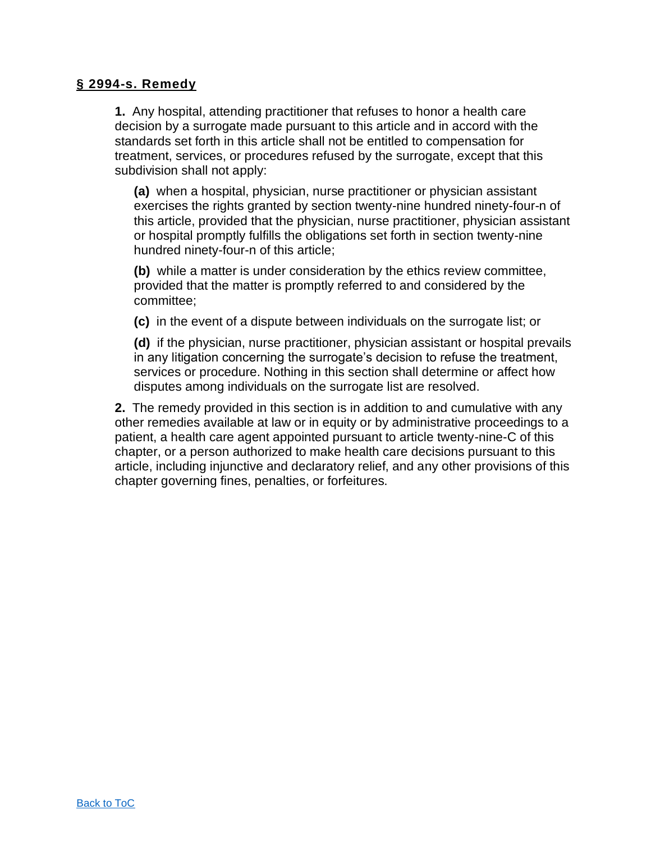#### <span id="page-31-0"></span>**§ 2994-s. Remedy**

**1.** Any hospital, attending practitioner that refuses to honor a health care decision by a surrogate made pursuant to this article and in accord with the standards set forth in this article shall not be entitled to compensation for treatment, services, or procedures refused by the surrogate, except that this subdivision shall not apply:

**(a)** when a hospital, physician, nurse practitioner or physician assistant exercises the rights granted by section twenty-nine hundred ninety-four-n of this article, provided that the physician, nurse practitioner, physician assistant or hospital promptly fulfills the obligations set forth in section twenty-nine hundred ninety-four-n of this article;

**(b)** while a matter is under consideration by the ethics review committee, provided that the matter is promptly referred to and considered by the committee;

**(c)** in the event of a dispute between individuals on the surrogate list; or

**(d)** if the physician, nurse practitioner, physician assistant or hospital prevails in any litigation concerning the surrogate's decision to refuse the treatment, services or procedure. Nothing in this section shall determine or affect how disputes among individuals on the surrogate list are resolved.

**2.** The remedy provided in this section is in addition to and cumulative with any other remedies available at law or in equity or by administrative proceedings to a patient, a health care agent appointed pursuant to article twenty-nine-C of this chapter, or a person authorized to make health care decisions pursuant to this article, including injunctive and declaratory relief, and any other provisions of this chapter governing fines, penalties, or forfeitures.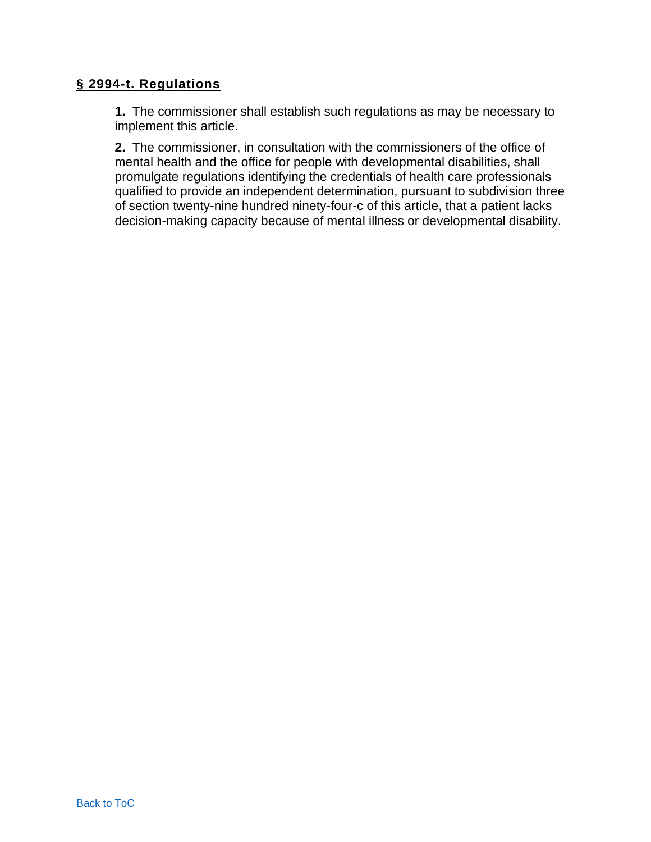# <span id="page-32-0"></span>**§ 2994-t. Regulations**

**1.** The commissioner shall establish such regulations as may be necessary to implement this article.

**2.** The commissioner, in consultation with the commissioners of the office of mental health and the office for people with developmental disabilities, shall promulgate regulations identifying the credentials of health care professionals qualified to provide an independent determination, pursuant to subdivision three of section twenty-nine hundred ninety-four-c of this article, that a patient lacks decision-making capacity because of mental illness or developmental disability.